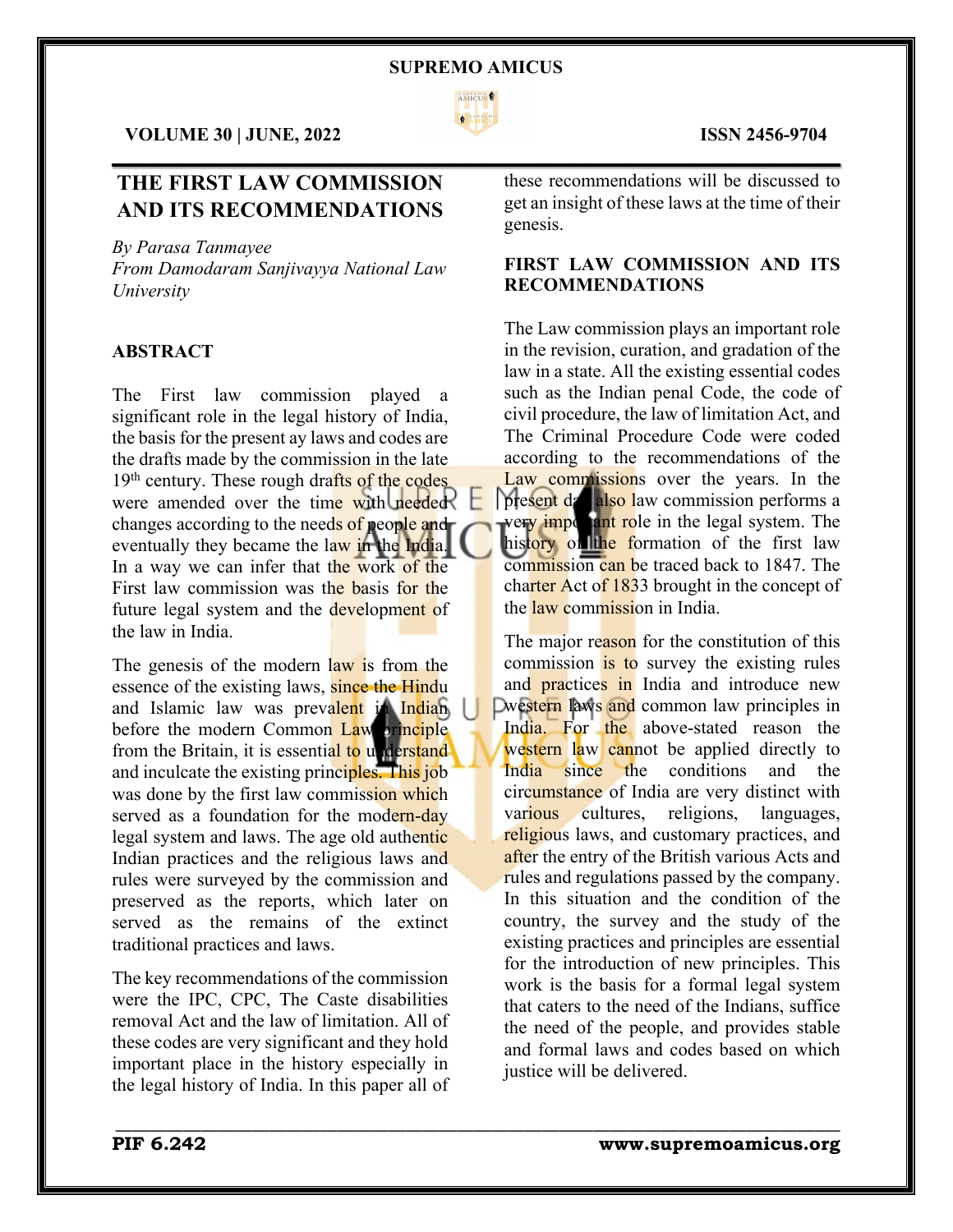

 $\mathcal{L}_\mathcal{L} = \mathcal{L}_\mathcal{L} = \mathcal{L}_\mathcal{L} = \mathcal{L}_\mathcal{L} = \mathcal{L}_\mathcal{L} = \mathcal{L}_\mathcal{L} = \mathcal{L}_\mathcal{L} = \mathcal{L}_\mathcal{L} = \mathcal{L}_\mathcal{L} = \mathcal{L}_\mathcal{L} = \mathcal{L}_\mathcal{L} = \mathcal{L}_\mathcal{L} = \mathcal{L}_\mathcal{L} = \mathcal{L}_\mathcal{L} = \mathcal{L}_\mathcal{L} = \mathcal{L}_\mathcal{L} = \mathcal{L}_\mathcal{L}$ 

\_\_\_\_\_\_\_\_\_\_\_\_\_\_\_\_\_\_\_\_\_\_\_\_\_\_\_\_\_\_\_\_\_\_\_\_\_\_\_\_\_\_\_\_\_\_\_\_\_\_\_\_\_\_\_\_\_\_\_\_\_\_\_\_\_\_\_\_\_\_\_\_\_\_\_\_\_\_\_\_\_\_\_\_\_

**VOLUME 30 | JUNE, 2022 ISSN 2456-9704**

# **THE FIRST LAW COMMISSION AND ITS RECOMMENDATIONS**

*By Parasa Tanmayee*

*From Damodaram Sanjivayya National Law University*

# **ABSTRACT**

The First law commission played a significant role in the legal history of India, the basis for the present ay laws and codes are the drafts made by the commission in the late 19<sup>th</sup> century. These rough drafts of the codes were amended over the time with needed changes according to the needs of people and eventually they became the law in the India. In a way we can infer that the work of the First law commission was the basis for the future legal system and the development of the law in India.

The genessi of the modern law is from the essence of the existing laws, since the Hindu and Islamic law was prevalent in Indian before the modern Common Law principle from the Britain, it is essential to understand and inculcate the existing principles. This job was done by the first law commission which served as a foundation for the modern-day legal system and laws. The age old authentic Indian practices and the religious laws and rules were surveyed by the commission and preserved as the reports, which later on served as the remains of the extinct traditional practices and laws.

The key recommendations of the commission were the IPC, CPC, The Caste disabilities removal Act and the law of limitation. All of these codes are very significant and they hold important place in the history especially in the legal history of India. In this paper all of

these recommendations will be discussed to get an insight of these laws at the time of their genesis.

# **FIRST LAW COMMISSION AND ITS RECOMMENDATIONS**

The Law commission plays an important role in the revision, curation, and gradation of the law in a state. All the existing essential codes such as the Indian penal Code, the code of civil procedure, the law of limitation Act, and The Criminal Procedure Code were coded according to the recommendations of the Law commissions over the years. In the present da also law commission performs a very important role in the legal system. The history of the formation of the first law commission can be traced back to 1847. The charter Act of 1833 brought in the concept of the law commission in India.

The major reason for the constitution of this commission is to survey the existing rules and **practices** in India and introduce new Dwestern laws and common law principles in India. For the above-stated reason the western law cannot be applied directly to India since the conditions and the circumstance of India are very distinct with various cultures, religions, languages, religious laws, and customary practices, and after the entry of the British various Acts and rules and regulations passed by the company. In this situation and the condition of the country, the survey and the study of the existing practices and principles are essential for the introduction of new principles. This work is the basis for a formal legal system that caters to the need of the Indians, suffice the need of the people, and provides stable and formal laws and codes based on which justice will be delivered.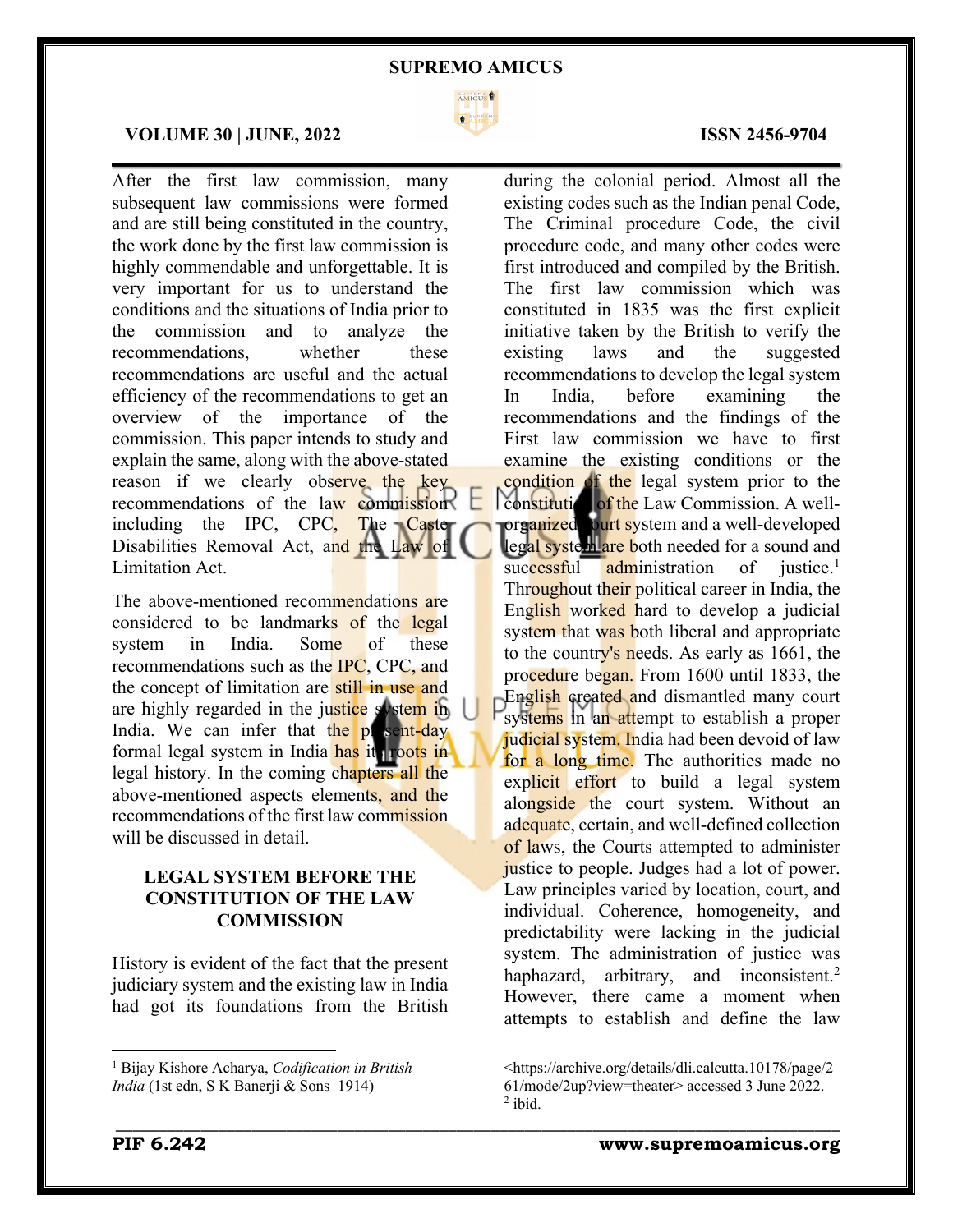

 $\mathcal{L}_\mathcal{L} = \mathcal{L}_\mathcal{L} = \mathcal{L}_\mathcal{L} = \mathcal{L}_\mathcal{L} = \mathcal{L}_\mathcal{L} = \mathcal{L}_\mathcal{L} = \mathcal{L}_\mathcal{L} = \mathcal{L}_\mathcal{L} = \mathcal{L}_\mathcal{L} = \mathcal{L}_\mathcal{L} = \mathcal{L}_\mathcal{L} = \mathcal{L}_\mathcal{L} = \mathcal{L}_\mathcal{L} = \mathcal{L}_\mathcal{L} = \mathcal{L}_\mathcal{L} = \mathcal{L}_\mathcal{L} = \mathcal{L}_\mathcal{L}$ 

\_\_\_\_\_\_\_\_\_\_\_\_\_\_\_\_\_\_\_\_\_\_\_\_\_\_\_\_\_\_\_\_\_\_\_\_\_\_\_\_\_\_\_\_\_\_\_\_\_\_\_\_\_\_\_\_\_\_\_\_\_\_\_\_\_\_\_\_\_\_\_\_\_\_\_\_\_\_\_\_\_\_\_\_\_

### **VOLUME 30 | JUNE, 2022 ISSN 2456-9704**

After the first law commission, many subsequent law commissions were formed and are still being constituted in the country, the work done by the first law commission is highly commendable and unforgettable. It is very important for us to understand the conditions and the situations of India prior to the commission and to analyze the recommendations, whether these recommendations are useful and the actual efficiency of the recommendations to get an overview of the importance of the commission. This paper intends to study and explain the same, along with the above-stated reason if we clearly observe the key recommendations of the law commission including the IPC, CPC, The  $\text{Cast}$ Disabilities Removal Act, and the Law of Limitation Act.

The above-mentioned recommendations are considered to be landmarks of the legal system in India. Some of these recommendations such as the IPC, CPC, and the concept of limitation are still in use and are highly regarded in the justice system in India. We can infer that the present-day formal legal system in India has it roots in legal history. In the coming chapters all the above-mentioned aspects elements, and the recommendations of the first law commission will be discussed in detail.

# **LEGAL SYSTEM BEFORE THE CONSTITUTION OF THE LAW COMMISSION**

History is evident of the fact that the present judiciary system and the existing law in India had got its foundations from the British

during the colonial period. Almost all the existing codes such as the Indian penal Code, The Criminal procedure Code, the civil procedure code, and many other codes were first introduced and compiled by the British. The first law commission which was constituted in 1835 was the first explicit initiative taken by the British to verify the existing laws and the suggested recommendations to develop the legal system In India, before examining the recommendations and the findings of the First law commission we have to first examine the existing conditions or the condition of the legal system prior to the constitution of the Law Commission. A wellorganized ourt system and a well-developed legal system are both needed for a sound and successful administration of justice.<sup>1</sup> Throughout their political career in India, the English worked hard to develop a judicial system that was both liberal and appropriate to the country's needs. As early as 1661, the procedure began. From 1600 until 1833, the English created and dismantled many court systems in an attempt to establish a proper judicial system. India had been devoid of law for a long time. The authorities made no explicit effort to build a legal system alongside the court system. Without an adequate, certain, and well-defined collection of laws, the Courts attempted to administer justice to people. Judges had a lot of power. Law principles varied by location, court, and individual. Coherence, homogeneity, and predictability were lacking in the judicial system. The administration of justice was haphazard, arbitrary, and inconsistent.<sup>2</sup> However, there came a moment when attempts to establish and define the law

<sup>1</sup> Bijay Kishore Acharya, *Codification in British India* (1st edn, S K Banerji & Sons 1914)

<sup>&</sup>lt;https://archive.org/details/dli.calcutta.10178/page/2 61/mode/2up?view=theater> accessed 3 June 2022.  $2$  ibid.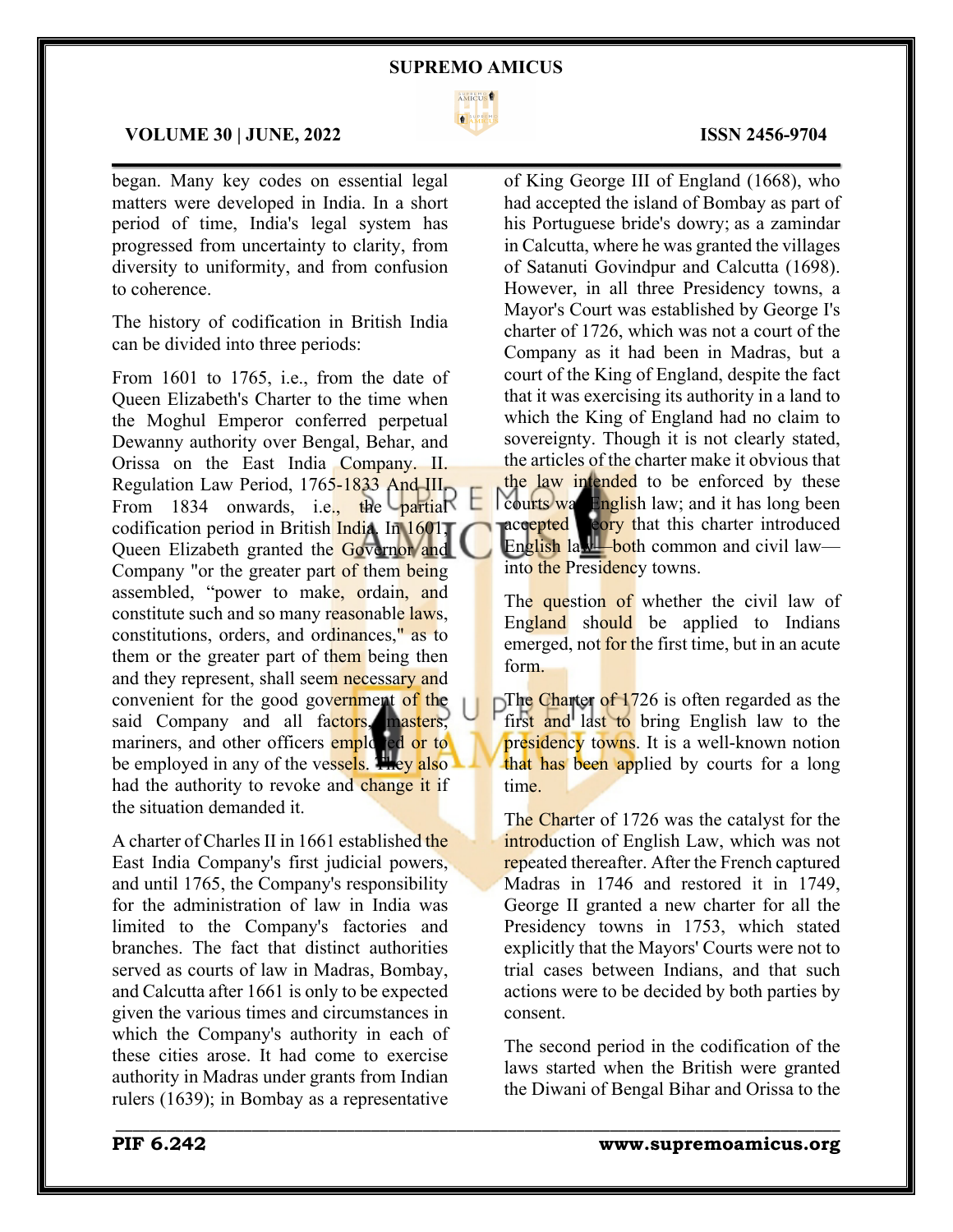

 $\mathcal{L}_\mathcal{L} = \mathcal{L}_\mathcal{L} = \mathcal{L}_\mathcal{L} = \mathcal{L}_\mathcal{L} = \mathcal{L}_\mathcal{L} = \mathcal{L}_\mathcal{L} = \mathcal{L}_\mathcal{L} = \mathcal{L}_\mathcal{L} = \mathcal{L}_\mathcal{L} = \mathcal{L}_\mathcal{L} = \mathcal{L}_\mathcal{L} = \mathcal{L}_\mathcal{L} = \mathcal{L}_\mathcal{L} = \mathcal{L}_\mathcal{L} = \mathcal{L}_\mathcal{L} = \mathcal{L}_\mathcal{L} = \mathcal{L}_\mathcal{L}$ 

\_\_\_\_\_\_\_\_\_\_\_\_\_\_\_\_\_\_\_\_\_\_\_\_\_\_\_\_\_\_\_\_\_\_\_\_\_\_\_\_\_\_\_\_\_\_\_\_\_\_\_\_\_\_\_\_\_\_\_\_\_\_\_\_\_\_\_\_\_\_\_\_\_\_\_\_\_\_\_\_\_\_\_\_\_

# **VOLUME 30 | JUNE, 2022 ISSN 2456-9704**

began. Many key codes on essential legal matters were developed in India. In a short period of time, India's legal system has progressed from uncertainty to clarity, from diversity to uniformity, and from confusion to coherence.

The history of codification in British India can be divided into three periods:

From 1601 to 1765, i.e., from the date of Queen Elizabeth's Charter to the time when the Moghul Emperor conferred perpetual Dewanny authority over Bengal, Behar, and Orissa on the East India Company. II. Regulation Law Period, 1765-1833 And III. From 1834 onwards, i.e., the partial codification period in British India. In 1601, Queen Elizabeth granted the Governor and Company "or the greater part of them being assembled, "power to make, ordain, and constitute such and so many reasonable laws, constitutions, orders, and ordinances," as to them or the greater part of them being then and they represent, shall seem necessary and convenient for the good government of the said Company and all factors, masters, mariners, and other officers employed or to be employed in any of the vessels. They also had the authority to revoke and change it if the situation demanded it.

A charter of Charles II in 1661 established the East India Company's first judicial powers, and until 1765, the Company's responsibility for the administration of law in India was limited to the Company's factories and branches. The fact that distinct authorities served as courts of law in Madras, Bombay, and Calcutta after 1661 is only to be expected given the various times and circumstances in which the Company's authority in each of these cities arose. It had come to exercise authority in Madras under grants from Indian rulers (1639); in Bombay as a representative

of King George III of England (1668), who had accepted the island of Bombay as part of his Portuguese bride's dowry; as a zamindar in Calcutta, where he was granted the villages of Satanuti Govindpur and Calcutta (1698). However, in all three Presidency towns, a Mayor's Court was established by George I's charter of 1726, which was not a court of the Company as it had been in Madras, but a court of the King of England, despite the fact that it was exercising its authority in a land to which the King of England had no claim to sovereignty. Though it is not clearly stated, the articles of the charter make it obvious that the law intended to be enforced by these courts was English law; and it has long been accepted cory that this charter introduced English law—both common and civil law into the Presidency towns.

The question of whether the civil law of England should be applied to Indians emerged, not for the first time, but in an acute form.

The Charter of 1726 is often regarded as the first and last to bring English law to the presidency towns. It is a well-known notion that has been applied by courts for a long time.

The Charter of 1726 was the catalyst for the introduction of English Law, which was not repeated thereafter. After the French captured Madras in 1746 and restored it in 1749, George II granted a new charter for all the Presidency towns in 1753, which stated explicitly that the Mayors' Courts were not to trial cases between Indians, and that such actions were to be decided by both parties by consent.

The second period in the codification of the laws started when the British were granted the Diwani of Bengal Bihar and Orissa to the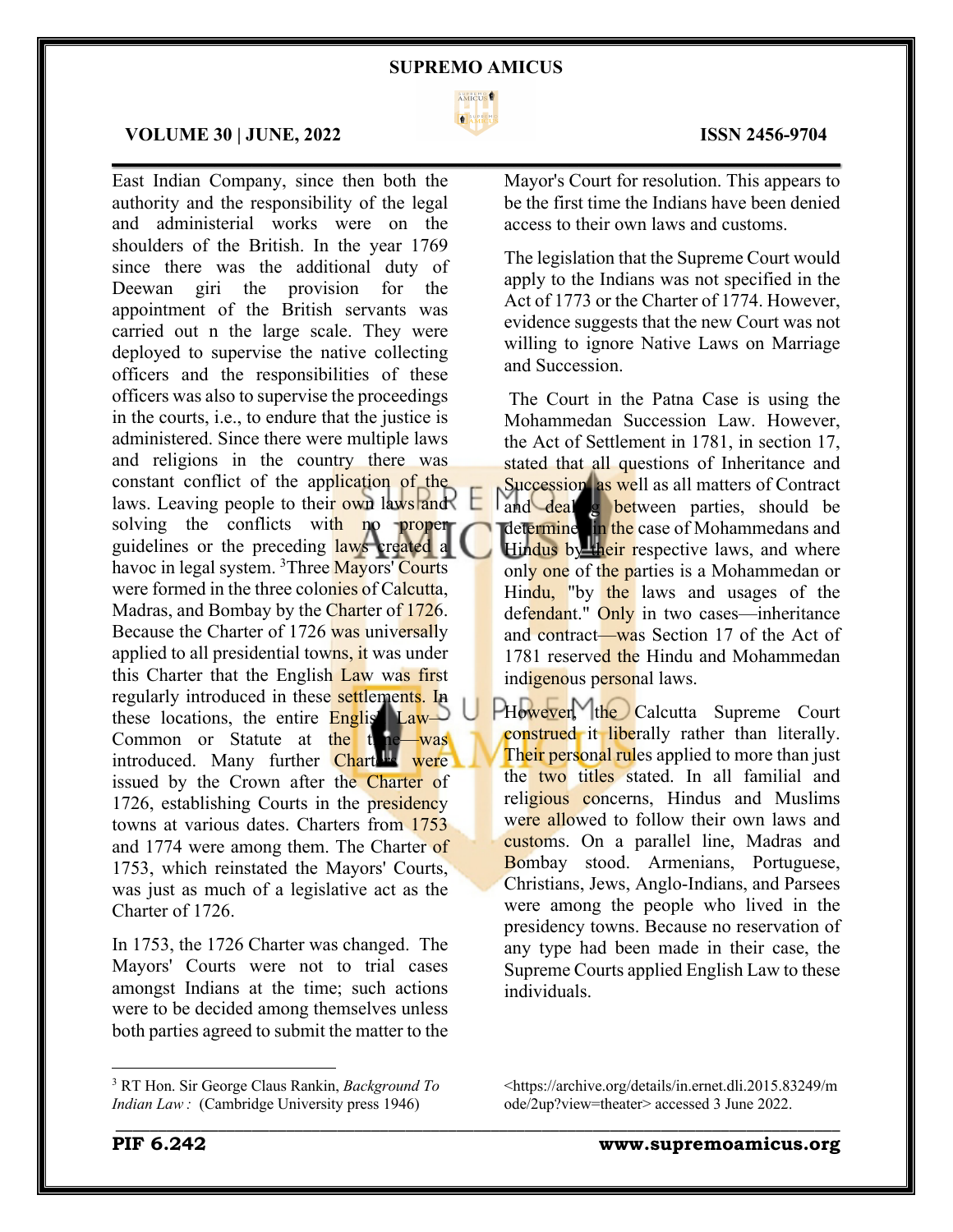

 $\mathcal{L}_\mathcal{L} = \mathcal{L}_\mathcal{L} = \mathcal{L}_\mathcal{L} = \mathcal{L}_\mathcal{L} = \mathcal{L}_\mathcal{L} = \mathcal{L}_\mathcal{L} = \mathcal{L}_\mathcal{L} = \mathcal{L}_\mathcal{L} = \mathcal{L}_\mathcal{L} = \mathcal{L}_\mathcal{L} = \mathcal{L}_\mathcal{L} = \mathcal{L}_\mathcal{L} = \mathcal{L}_\mathcal{L} = \mathcal{L}_\mathcal{L} = \mathcal{L}_\mathcal{L} = \mathcal{L}_\mathcal{L} = \mathcal{L}_\mathcal{L}$ 

\_\_\_\_\_\_\_\_\_\_\_\_\_\_\_\_\_\_\_\_\_\_\_\_\_\_\_\_\_\_\_\_\_\_\_\_\_\_\_\_\_\_\_\_\_\_\_\_\_\_\_\_\_\_\_\_\_\_\_\_\_\_\_\_\_\_\_\_\_\_\_\_\_\_\_\_\_\_\_\_\_\_\_\_\_

### **VOLUME 30 | JUNE, 2022 ISSN 2456-9704**

East Indian Company, since then both the authority and the responsibility of the legal and administerial works were on the shoulders of the British. In the year 1769 since there was the additional duty of Deewan giri the provision for the appointment of the British servants was carried out n the large scale. They were deployed to supervise the native collecting officers and the responsibilities of these officers was also to supervise the proceedings in the courts, i.e., to endure that the justice is administered. Since there were multiple laws and religions in the country there was constant conflict of the application of the laws. Leaving people to their own laws and solving the conflicts with no proper guidelines or the preceding laws created a havoc in legal system. <sup>3</sup>Three Mayors' Courts were formed in the three colonies of Calcutta, Madras, and Bombay by the Charter of 1726. Because the Charter of 1726 was universally applied to all presidential towns, it was under this Charter that the English Law was first regularly introduced in these settlements. In these locations, the entire English Law Common or Statute at the time—was introduced. Many further Charters were issued by the Crown after the Charter of 1726, establishing Courts in the presidency towns at various dates. Charters from 1753 and 1774 were among them. The Charter of 1753, which reinstated the Mayors' Courts, was just as much of a legislative act as the Charter of 1726.

In 1753, the 1726 Charter was changed. The Mayors' Courts were not to trial cases amongst Indians at the time; such actions were to be decided among themselves unless both parties agreed to submit the matter to the

Mayor's Court for resolution. This appears to be the first time the Indians have been denied access to their own laws and customs.

The legislation that the Supreme Court would apply to the Indians was not specified in the Act of 1773 or the Charter of 1774. However, evidence suggests that the new Court was not willing to ignore Native Laws on Marriage and Succession.

The Court in the Patna Case is using the Mohammedan Succession Law. However, the Act of Settlement in 1781, in section 17, stated that all questions of Inheritance and Succession, as well as all matters of Contract and deal g between parties, should be determine in the case of Mohammedans and Hindus by their respective laws, and where only one of the parties is a Mohammedan or Hindu, "by the laws and usages of the defendant." Only in two cases—inheritance and contract—was Section 17 of the Act of 1781 reserved the Hindu and Mohammedan indigenous personal laws.

PHowever, the Calcutta Supreme Court construed it liberally rather than literally. Their personal rules applied to more than just the two titles stated. In all familial and religious concerns, Hindus and Muslims were allowed to follow their own laws and customs. On a parallel line, Madras and Bombay stood. Armenians, Portuguese, Christians, Jews, Anglo-Indians, and Parsees were among the people who lived in the presidency towns. Because no reservation of any type had been made in their case, the Supreme Courts applied English Law to these individuals.

<sup>3</sup> RT Hon. Sir George Claus Rankin, *Background To Indian Law :* (Cambridge University press 1946)

<sup>&</sup>lt;https://archive.org/details/in.ernet.dli.2015.83249/m ode/2up?view=theater> accessed 3 June 2022.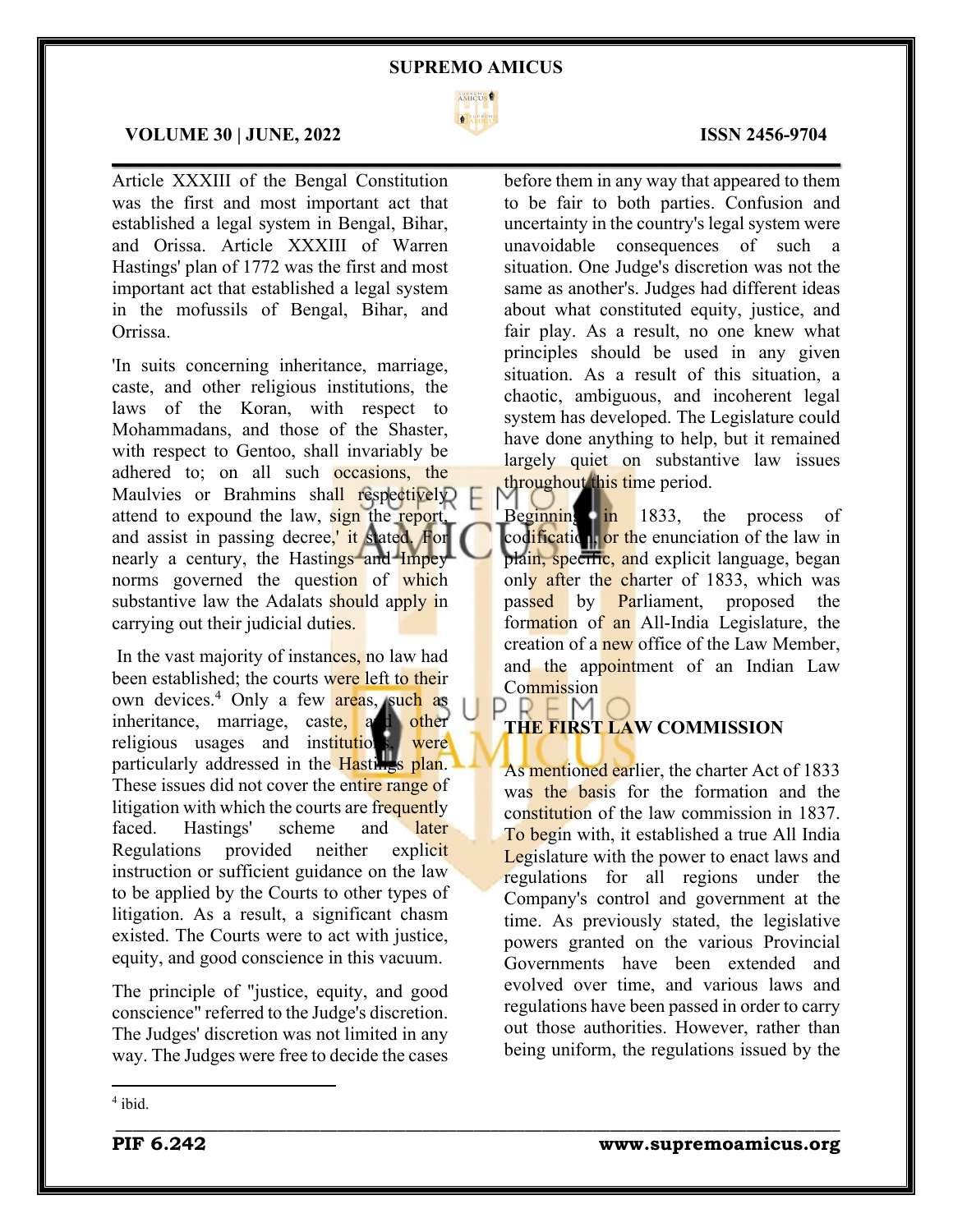

 $\mathcal{L}_\mathcal{L} = \mathcal{L}_\mathcal{L} = \mathcal{L}_\mathcal{L} = \mathcal{L}_\mathcal{L} = \mathcal{L}_\mathcal{L} = \mathcal{L}_\mathcal{L} = \mathcal{L}_\mathcal{L} = \mathcal{L}_\mathcal{L} = \mathcal{L}_\mathcal{L} = \mathcal{L}_\mathcal{L} = \mathcal{L}_\mathcal{L} = \mathcal{L}_\mathcal{L} = \mathcal{L}_\mathcal{L} = \mathcal{L}_\mathcal{L} = \mathcal{L}_\mathcal{L} = \mathcal{L}_\mathcal{L} = \mathcal{L}_\mathcal{L}$ 

\_\_\_\_\_\_\_\_\_\_\_\_\_\_\_\_\_\_\_\_\_\_\_\_\_\_\_\_\_\_\_\_\_\_\_\_\_\_\_\_\_\_\_\_\_\_\_\_\_\_\_\_\_\_\_\_\_\_\_\_\_\_\_\_\_\_\_\_\_\_\_\_\_\_\_\_\_\_\_\_\_\_\_\_\_

# **VOLUME 30 | JUNE, 2022 ISSN 2456-9704**

Article XXXIII of the Bengal Constitution was the first and most important act that established a legal system in Bengal, Bihar, and Orissa. Article XXXIII of Warren Hastings' plan of 1772 was the first and most important act that established a legal system in the mofussils of Bengal, Bihar, and Orrissa.

'In suits concerning inheritance, marriage, caste, and other religious institutions, the laws of the Koran, with respect to Mohammadans, and those of the Shaster, with respect to Gentoo, shall invariably be adhered to; on all such occasions, the Maulvies or Brahmins shall respectively attend to expound the law, sign the report, and assist in passing decree,' it stated. For nearly a century, the Hastings and Impey norms governed the question of which substantive law the Adalats should apply in carrying out their judicial duties.

In the vast majority of instances, no law had been established; the courts were left to their own devices.<sup>4</sup> Only a few areas, such as inheritance, marriage, caste, and other religious usages and institutions, were particularly addressed in the Hastings plan. These issues did not cover the entire range of litigation with which the courts are frequently faced. Hastings' scheme and later Regulations provided neither explicit instruction or sufficient guidance on the law to be applied by the Courts to other types of litigation. As a result, a significant chasm existed. The Courts were to act with justice, equity, and good conscience in this vacuum.

The principle of "justice, equity, and good conscience" referred to the Judge's discretion. The Judges' discretion was not limited in any way. The Judges were free to decide the cases

before them in any way that appeared to them to be fair to both parties. Confusion and uncertainty in the country's legal system were unavoidable consequences of such a situation. One Judge's discretion was not the same as another's. Judges had different ideas about what constituted equity, justice, and fair play. As a result, no one knew what principles should be used in any given situation. As a result of this situation, a chaotic, ambiguous, and incoherent legal system has developed. The Legislature could have done anything to help, but it remained largely quiet on substantive law issues throughout this time period.

Beginning in 1833, the process of codification, or the enunciation of the law in plain, specific, and explicit language, began only after the charter of 1833, which was passed by Parliament, proposed the formation of an All-India Legislature, the creation of a new office of the Law Member. and the appointment of an Indian Law **Commission** 

# $P \vdash M$ **THE FIRST LAW COMMISSION**

As mentioned earlier, the charter Act of 1833 was the basis for the formation and the constitution of the law commission in 1837. To begin with, it established a true All India Legislature with the power to enact laws and regulations for all regions under the Company's control and government at the time. As previously stated, the legislative powers granted on the various Provincial Governments have been extended and evolved over time, and various laws and regulations have been passed in order to carry out those authorities. However, rather than being uniform, the regulations issued by the

 $4$  ibid.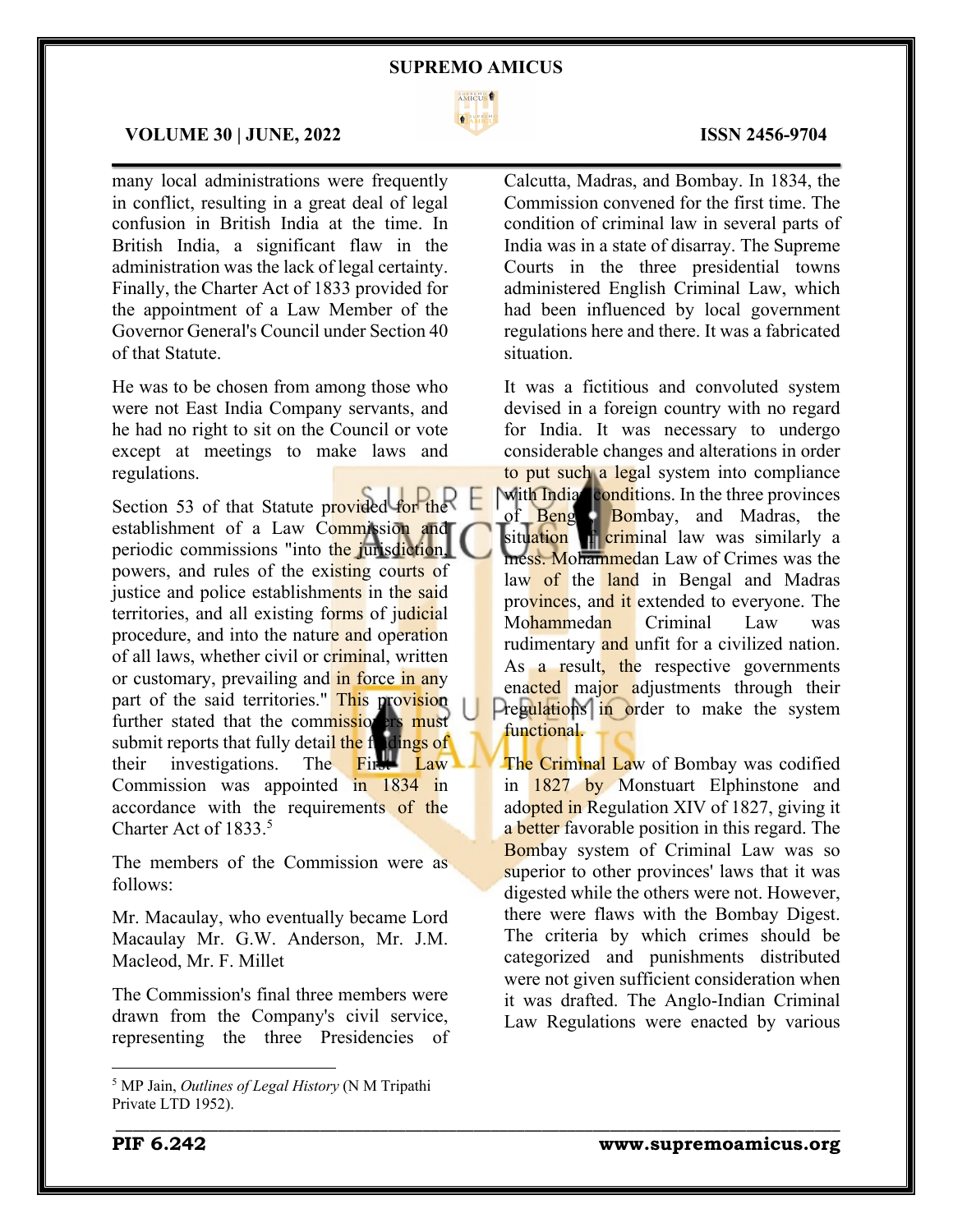

\_\_\_\_\_\_\_\_\_\_\_\_\_\_\_\_\_\_\_\_\_\_\_\_\_\_\_\_\_\_\_\_\_\_\_\_\_\_\_\_\_\_\_\_\_\_\_\_\_\_\_\_\_\_\_\_\_\_\_\_\_\_\_\_\_\_\_\_\_\_\_\_\_\_\_\_\_\_\_\_\_\_\_\_\_

# **VOLUME 30 | JUNE, 2022 ISSN 2456-9704**

many local administrations were frequently in conflict, resulting in a great deal of legal confusion in British India at the time. In British India, a significant flaw in the administration was the lack of legal certainty. Finally, the Charter Act of 1833 provided for the appointment of a Law Member of the Governor General's Council under Section 40 of that Statute.

He was to be chosen from among those who were not East India Company servants, and he had no right to sit on the Council or vote except at meetings to make laws and regulations.

Section 53 of that Statute provided for the establishment of a Law Commission and periodic commissions "into the jurisdiction, powers, and rules of the existing courts of justice and police establishments in the said territories, and all existing forms of judicial procedure, and into the nature and operation of all laws, whether civil or criminal, written or customary, prevailing and in force in any part of the said territories." This provision further stated that the commissioners must submit reports that fully detail the findings of<br>their investigations. The First Law their investigations. The Commission was appointed in 1834 in accordance with the requirements of the Charter Act of 1833.5

The members of the Commission were as follows:

Mr. Macaulay, who eventually became Lord Macaulay Mr. G.W. Anderson, Mr. J.M. Macleod, Mr. F. Millet

The Commission's final three members were drawn from the Company's civil service, representing the three Presidencies of

# $\mathcal{L}_\mathcal{L} = \mathcal{L}_\mathcal{L} = \mathcal{L}_\mathcal{L} = \mathcal{L}_\mathcal{L} = \mathcal{L}_\mathcal{L} = \mathcal{L}_\mathcal{L} = \mathcal{L}_\mathcal{L} = \mathcal{L}_\mathcal{L} = \mathcal{L}_\mathcal{L} = \mathcal{L}_\mathcal{L} = \mathcal{L}_\mathcal{L} = \mathcal{L}_\mathcal{L} = \mathcal{L}_\mathcal{L} = \mathcal{L}_\mathcal{L} = \mathcal{L}_\mathcal{L} = \mathcal{L}_\mathcal{L} = \mathcal{L}_\mathcal{L}$ Calcutta, Madras, and Bombay. In 1834, the Commission convened for the first time. The condition of criminal law in several parts of India was in a state of disarray. The Supreme Courts in the three presidential towns

administered English Criminal Law, which had been influenced by local government regulations here and there. It was a fabricated situation.

It was a fictitious and convoluted system devised in a foreign country with no regard for India. It was necessary to undergo considerable changes and alterations in order to put such a legal system into compliance with Indian conditions. In the three provinces of Beng<sup>3</sup>, Bombay, and Madras, the situation of criminal law was similarly a mess. Mohammedan Law of Crimes was the law of the land in Bengal and Madras provinces, and it extended to everyone. The Mohammedan Criminal Law was rudimentary and unfit for a civilized nation. As a result, the respective governments enacted major adjustments through their Pregulations in order to make the system functional.

The Criminal Law of Bombay was codified in 1827 by Monstuart Elphinstone and adopted in Regulation XIV of 1827, giving it a better favorable position in this regard. The Bombay system of Criminal Law was so superior to other provinces' laws that it was digested while the others were not. However, there were flaws with the Bombay Digest. The criteria by which crimes should be categorized and punishments distributed were not given sufficient consideration when it was drafted. The Anglo-Indian Criminal Law Regulations were enacted by various

<sup>5</sup> MP Jain, *Outlines of Legal History* (N M Tripathi Private LTD 1952).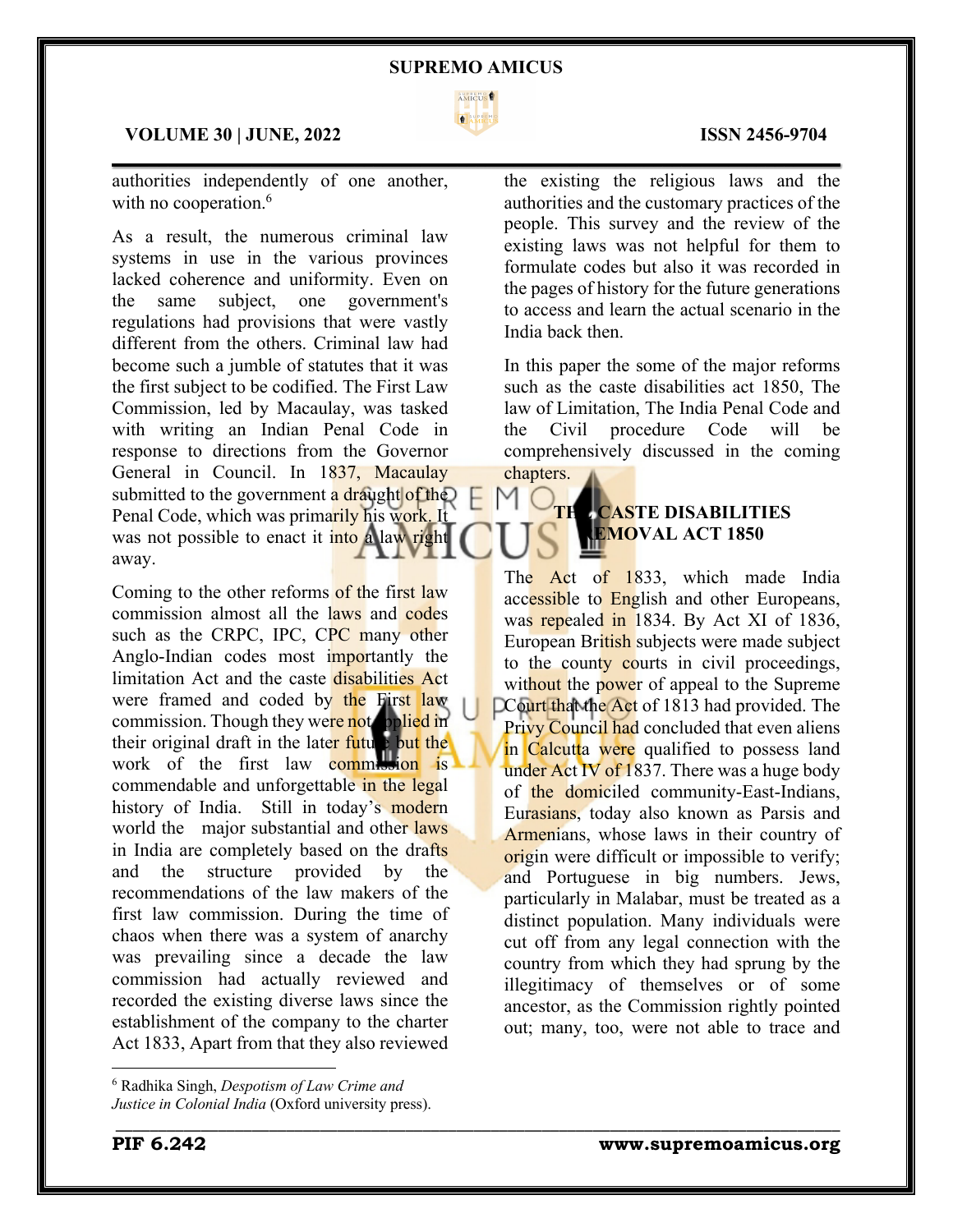

 $\mathcal{L}_\mathcal{L} = \mathcal{L}_\mathcal{L} = \mathcal{L}_\mathcal{L} = \mathcal{L}_\mathcal{L} = \mathcal{L}_\mathcal{L} = \mathcal{L}_\mathcal{L} = \mathcal{L}_\mathcal{L} = \mathcal{L}_\mathcal{L} = \mathcal{L}_\mathcal{L} = \mathcal{L}_\mathcal{L} = \mathcal{L}_\mathcal{L} = \mathcal{L}_\mathcal{L} = \mathcal{L}_\mathcal{L} = \mathcal{L}_\mathcal{L} = \mathcal{L}_\mathcal{L} = \mathcal{L}_\mathcal{L} = \mathcal{L}_\mathcal{L}$ 

\_\_\_\_\_\_\_\_\_\_\_\_\_\_\_\_\_\_\_\_\_\_\_\_\_\_\_\_\_\_\_\_\_\_\_\_\_\_\_\_\_\_\_\_\_\_\_\_\_\_\_\_\_\_\_\_\_\_\_\_\_\_\_\_\_\_\_\_\_\_\_\_\_\_\_\_\_\_\_\_\_\_\_\_\_

# **VOLUME 30 | JUNE, 2022 ISSN 2456-9704**

authorities independently of one another, with no cooperation.<sup>6</sup>

As a result, the numerous criminal law systems in use in the various provinces lacked coherence and uniformity. Even on the same subject, one government's regulations had provisions that were vastly different from the others. Criminal law had become such a jumble of statutes that it was the first subject to be codified. The First Law Commission, led by Macaulay, was tasked with writing an Indian Penal Code in response to directions from the Governor General in Council. In 1837, Macaulay submitted to the government a draught of the Penal Code, which was primarily his work. It was not possible to enact it into a law right away.

Coming to the other reforms of the first law commission almost all the laws and codes such as the CRPC, IPC, CPC many other Anglo-Indian codes most importantly the limitation Act and the caste disabilities Act were framed and coded by the First law commission. Though they were not applied in their original draft in the later future but the work of the first law commission is commendable and unforgettable in the legal history of India. Still in today's modern world the major substantial and other laws in India are completely based on the drafts and the structure provided by the recommendations of the law makers of the first law commission. During the time of chaos when there was a system of anarchy was prevailing since a decade the law commission had actually reviewed and recorded the existing diverse laws since the establishment of the company to the charter Act 1833, Apart from that they also reviewed

the existing the religious laws and the authorities and the customary practices of the people. This survey and the review of the existing laws was not helpful for them to formulate codes but also it was recorded in the pages of history for the future generations to access and learn the actual scenario in the India back then.

In this paper the some of the major reforms such as the caste disabilities act 1850, The law of Limitation, The India Penal Code and the Civil procedure Code will be comprehensively discussed in the coming chapters.

# **CASTE DISABILITIES REMOVAL ACT 1850**

The Act of 1833, which made India accessible to English and other Europeans, was repealed in 1834. By Act XI of 1836, European British subjects were made subject to the county courts in civil proceedings, without the power of appeal to the Supreme DCourt that the Act of 1813 had provided. The Privy Council had concluded that even aliens in Calcutta were qualified to possess land under Act IV of 1837. There was a huge body of the domiciled community-East-Indians, Eurasians, today also known as Parsis and Armenians, whose laws in their country of origin were difficult or impossible to verify; and Portuguese in big numbers. Jews, particularly in Malabar, must be treated as a distinct population. Many individuals were cut off from any legal connection with the country from which they had sprung by the illegitimacy of themselves or of some ancestor, as the Commission rightly pointed out; many, too, were not able to trace and

<sup>6</sup> Radhika Singh, *Despotism of Law Crime and* 

*Justice in Colonial India* (Oxford university press).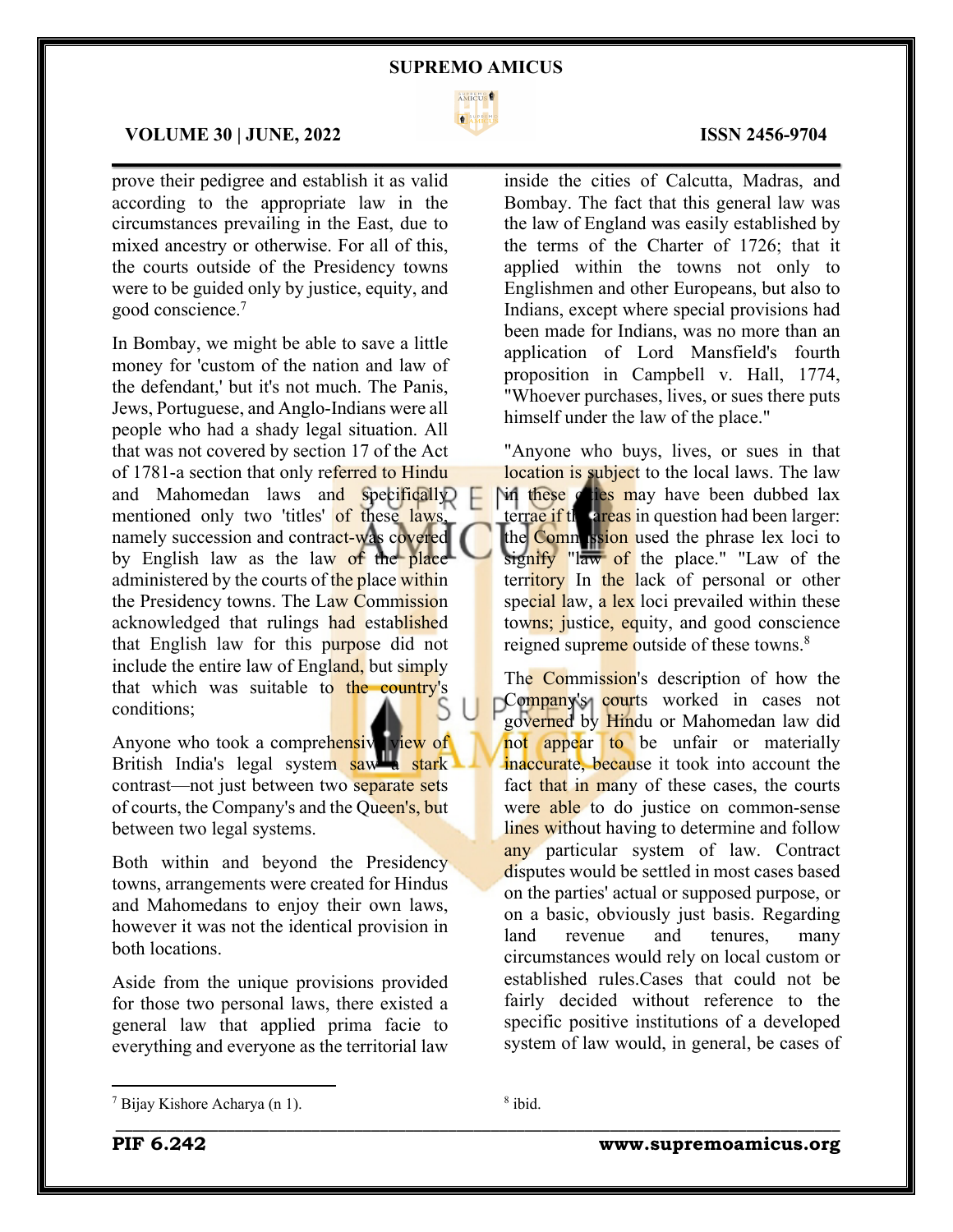

 $\mathcal{L}_\mathcal{L} = \mathcal{L}_\mathcal{L} = \mathcal{L}_\mathcal{L} = \mathcal{L}_\mathcal{L} = \mathcal{L}_\mathcal{L} = \mathcal{L}_\mathcal{L} = \mathcal{L}_\mathcal{L} = \mathcal{L}_\mathcal{L} = \mathcal{L}_\mathcal{L} = \mathcal{L}_\mathcal{L} = \mathcal{L}_\mathcal{L} = \mathcal{L}_\mathcal{L} = \mathcal{L}_\mathcal{L} = \mathcal{L}_\mathcal{L} = \mathcal{L}_\mathcal{L} = \mathcal{L}_\mathcal{L} = \mathcal{L}_\mathcal{L}$ 

# **VOLUME 30 | JUNE, 2022 ISSN 2456-9704**

prove their pedigree and establish it as valid according to the appropriate law in the circumstances prevailing in the East, due to mixed ancestry or otherwise. For all of this, the courts outside of the Presidency towns were to be guided only by justice, equity, and good conscience.7

In Bombay, we might be able to save a little money for 'custom of the nation and law of the defendant,' but it's not much. The Panis, Jews, Portuguese, and Anglo-Indians were all people who had a shady legal situation. All that was not covered by section 17 of the Act of 1781-a section that only referred to Hindu and Mahomedan laws and specifically mentioned only two 'titles' of these laws, namely succession and contract-was covered by English law as the law of the place administered by the courts of the place within the Presidency towns. The Law Commission acknowledged that rulings had established that English law for this purpose did not include the entire law of England, but simply that which was suitable to the country's conditions;

Anyone who took a comprehensive view of British India's legal system saw a stark contrast—not just between two separate sets of courts, the Company's and the Queen's, but between two legal systems.

Both within and beyond the Presidency towns, arrangements were created for Hindus and Mahomedans to enjoy their own laws, however it was not the identical provision in both locations.

Aside from the unique provisions provided for those two personal laws, there existed a general law that applied prima facie to everything and everyone as the territorial law

inside the cities of Calcutta, Madras, and Bombay. The fact that this general law was the law of England was easily established by the terms of the Charter of 1726; that it applied within the towns not only to Englishmen and other Europeans, but also to Indians, except where special provisions had been made for Indians, was no more than an application of Lord Mansfield's fourth proposition in Campbell v. Hall, 1774, "Whoever purchases, lives, or sues there puts himself under the law of the place."

"Anyone who buys, lives, or sues in that location is subject to the local laws. The law in these cities may have been dubbed lax terrae if the areas in question had been larger: the Commission used the phrase lex loci to signify "law of the place." "Law of the territory In the lack of personal or other special law, a lex loci prevailed within these towns; justice, equity, and good conscience reigned supreme outside of these towns.<sup>8</sup>

The Commission's description of how the Company's courts worked in cases not governed by Hindu or Mahomedan law did not appear to be unfair or materially inaccurate, because it took into account the fact that in many of these cases, the courts were able to do justice on common-sense lines without having to determine and follow any particular system of law. Contract disputes would be settled in most cases based on the parties' actual or supposed purpose, or on a basic, obviously just basis. Regarding land revenue and tenures, many circumstances would rely on local custom or established rules.Cases that could not be fairly decided without reference to the specific positive institutions of a developed system of law would, in general, be cases of

\_\_\_\_\_\_\_\_\_\_\_\_\_\_\_\_\_\_\_\_\_\_\_\_\_\_\_\_\_\_\_\_\_\_\_\_\_\_\_\_\_\_\_\_\_\_\_\_\_\_\_\_\_\_\_\_\_\_\_\_\_\_\_\_\_\_\_\_\_\_\_\_\_\_\_\_\_\_\_\_\_\_\_\_\_

<sup>7</sup> Bijay Kishore Acharya (n 1).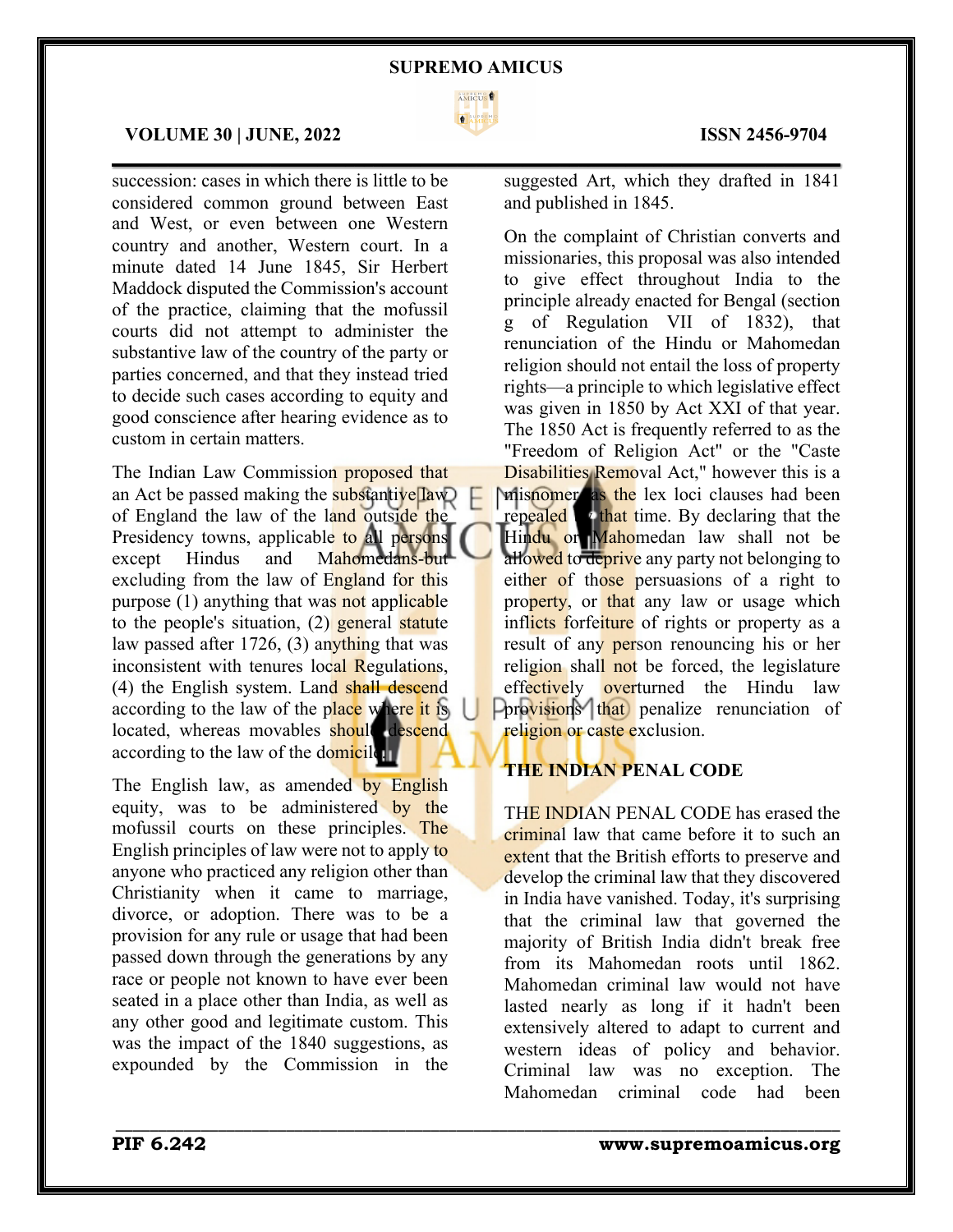

 $\mathcal{L}_\mathcal{L} = \mathcal{L}_\mathcal{L} = \mathcal{L}_\mathcal{L} = \mathcal{L}_\mathcal{L} = \mathcal{L}_\mathcal{L} = \mathcal{L}_\mathcal{L} = \mathcal{L}_\mathcal{L} = \mathcal{L}_\mathcal{L} = \mathcal{L}_\mathcal{L} = \mathcal{L}_\mathcal{L} = \mathcal{L}_\mathcal{L} = \mathcal{L}_\mathcal{L} = \mathcal{L}_\mathcal{L} = \mathcal{L}_\mathcal{L} = \mathcal{L}_\mathcal{L} = \mathcal{L}_\mathcal{L} = \mathcal{L}_\mathcal{L}$ 

\_\_\_\_\_\_\_\_\_\_\_\_\_\_\_\_\_\_\_\_\_\_\_\_\_\_\_\_\_\_\_\_\_\_\_\_\_\_\_\_\_\_\_\_\_\_\_\_\_\_\_\_\_\_\_\_\_\_\_\_\_\_\_\_\_\_\_\_\_\_\_\_\_\_\_\_\_\_\_\_\_\_\_\_\_

# **VOLUME 30 | JUNE, 2022 ISSN 2456-9704**

succession: cases in which there is little to be considered common ground between East and West, or even between one Western country and another, Western court. In a minute dated 14 June 1845, Sir Herbert Maddock disputed the Commission's account of the practice, claiming that the mofussil courts did not attempt to administer the substantive law of the country of the party or parties concerned, and that they instead tried to decide such cases according to equity and good conscience after hearing evidence as to custom in certain matters.

The Indian Law Commission proposed that an Act be passed making the substantive  $\boxed{\text{law}}$ of England the law of the land outside the Presidency towns, applicable to all persons except Hindus and Mahomedans-but excluding from the law of England for this purpose (1) anything that was not applicable to the people's situation,  $(2)$  general statute law passed after 1726, (3) anything that was inconsistent with tenures local Regulations, (4) the English system. Land shall descend according to the law of the place where it is located, whereas movables should descend according to the law of the domicile.

The English law, as amended by English equity, was to be administered by the mofussil courts on these principles. The English principles of law were not to apply to anyone who practiced any religion other than Christianity when it came to marriage, divorce, or adoption. There was to be a provision for any rule or usage that had been passed down through the generations by any race or people not known to have ever been seated in a place other than India, as well as any other good and legitimate custom. This was the impact of the 1840 suggestions, as expounded by the Commission in the

suggested Art, which they drafted in 1841 and published in 1845.

On the complaint of Christian converts and missionaries, this proposal was also intended to give effect throughout India to the principle already enacted for Bengal (section g of Regulation VII of 1832), that renunciation of the Hindu or Mahomedan religion should not entail the loss of property rights—a principle to which legislative effect was given in 1850 by Act XXI of that year. The 1850 Act is frequently referred to as the "Freedom of Religion Act" or the "Caste Disabilities Removal Act," however this is a misnomer as the lex loci clauses had been repealed **by that time.** By declaring that the Hindu or Mahomedan law shall not be allowed to deprive any party not belonging to either of those persuasions of a right to property, or that any law or usage which inflicts forfeiture of rights or property as a result of any person renouncing his or her religion shall not be forced, the legislature effectively overturned the Hindu law **Porovisions** that penalize renunciation of religion or caste exclusion.

# **THE INDIAN PENAL CODE**

THE INDIAN PENAL CODE has erased the criminal law that came before it to such an extent that the British efforts to preserve and develop the criminal law that they discovered in India have vanished. Today, it's surprising that the criminal law that governed the majority of British India didn't break free from its Mahomedan roots until 1862. Mahomedan criminal law would not have lasted nearly as long if it hadn't been extensively altered to adapt to current and western ideas of policy and behavior. Criminal law was no exception. The Mahomedan criminal code had been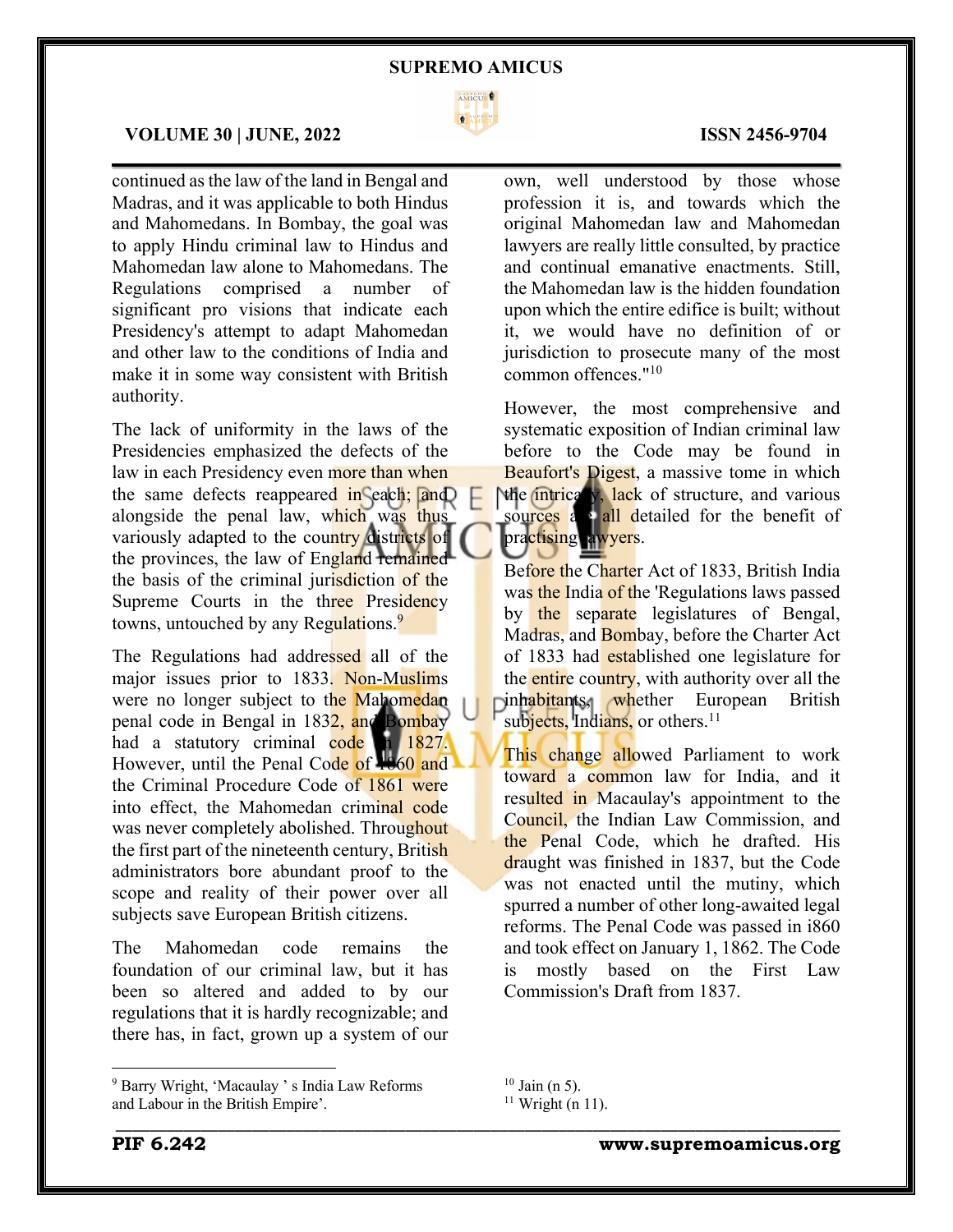

 $\mathcal{L}_\mathcal{L} = \mathcal{L}_\mathcal{L} = \mathcal{L}_\mathcal{L} = \mathcal{L}_\mathcal{L} = \mathcal{L}_\mathcal{L} = \mathcal{L}_\mathcal{L} = \mathcal{L}_\mathcal{L} = \mathcal{L}_\mathcal{L} = \mathcal{L}_\mathcal{L} = \mathcal{L}_\mathcal{L} = \mathcal{L}_\mathcal{L} = \mathcal{L}_\mathcal{L} = \mathcal{L}_\mathcal{L} = \mathcal{L}_\mathcal{L} = \mathcal{L}_\mathcal{L} = \mathcal{L}_\mathcal{L} = \mathcal{L}_\mathcal{L}$ 

# **VOLUME 30 | JUNE, 2022 ISSN 2456-9704**

continued as the law of the land in Bengal and Madras, and it was applicable to both Hindus and Mahomedans. In Bombay, the goal was to apply Hindu criminal law to Hindus and Mahomedan law alone to Mahomedans. The Regulations comprised a number of significant pro visions that indicate each Presidency's attempt to adapt Mahomedan and other law to the conditions of India and make it in some way consistent with British authority.

The lack of uniformity in the laws of the Presidencies emphasized the defects of the law in each Presidency even more than when the same defects reappeared in each; and alongside the penal law, which was thus variously adapted to the country districts of the provinces, the law of England remained the basis of the criminal jurisdiction of the Supreme Courts in the three Presidency towns, untouched by any Regulations.<sup>9</sup>

The Regulations had addressed all of the major issues prior to 1833. Non-Muslims were no longer subject to the Mahomedan penal code in Bengal in 1832, and Bombay had a statutory criminal code in 1827. However, until the Penal Code of 1860 and the Criminal Procedure Code of 1861 were into effect, the Mahomedan criminal code was never completely abolished. Throughout the first part of the nineteenth century, British administrators bore abundant proof to the scope and reality of their power over all subjects save European British citizens.

The Mahomedan code remains the foundation of our criminal law, but it has been so altered and added to by our regulations that it is hardly recognizable; and there has, in fact, grown up a system of our

own, well understood by those whose profession it is, and towards which the original Mahomedan law and Mahomedan lawyers are really little consulted, by practice and continual emanative enactments. Still, the Mahomedan law is the hidden foundation upon which the entire edifice is built; without it, we would have no definition of or jurisdiction to prosecute many of the most common offences."10

However, the most comprehensive and systematic exposition of Indian criminal law before to the Code may be found in Beaufort's Digest, a massive tome in which the intrically, lack of structure, and various sources a all detailed for the benefit of practising awyers.

Before the Charter Act of 1833, British India was the India of the 'Regulations laws passed by the separate legislatures of Bengal, Madras, and Bombay, before the Charter Act of 1833 had established one legislature for the entire country, with authority over all the inhabitants, whether European British subjects, Indians, or others.<sup>11</sup>

This change allowed Parliament to work toward a common law for India, and it resulted in Macaulay's appointment to the Council, the Indian Law Commission, and the Penal Code, which he drafted. His draught was finished in 1837, but the Code was not enacted until the mutiny, which spurred a number of other long-awaited legal reforms. The Penal Code was passed in i860 and took effect on January 1, 1862. The Code is mostly based on the First Law Commission's Draft from 1837.

\_\_\_\_\_\_\_\_\_\_\_\_\_\_\_\_\_\_\_\_\_\_\_\_\_\_\_\_\_\_\_\_\_\_\_\_\_\_\_\_\_\_\_\_\_\_\_\_\_\_\_\_\_\_\_\_\_\_\_\_\_\_\_\_\_\_\_\_\_\_\_\_\_\_\_\_\_\_\_\_\_\_\_\_\_

<sup>9</sup> Barry Wright, 'Macaulay ' s India Law Reforms and Labour in the British Empire'.

 $10$  Jain (n 5).

 $11$  Wright (n 11).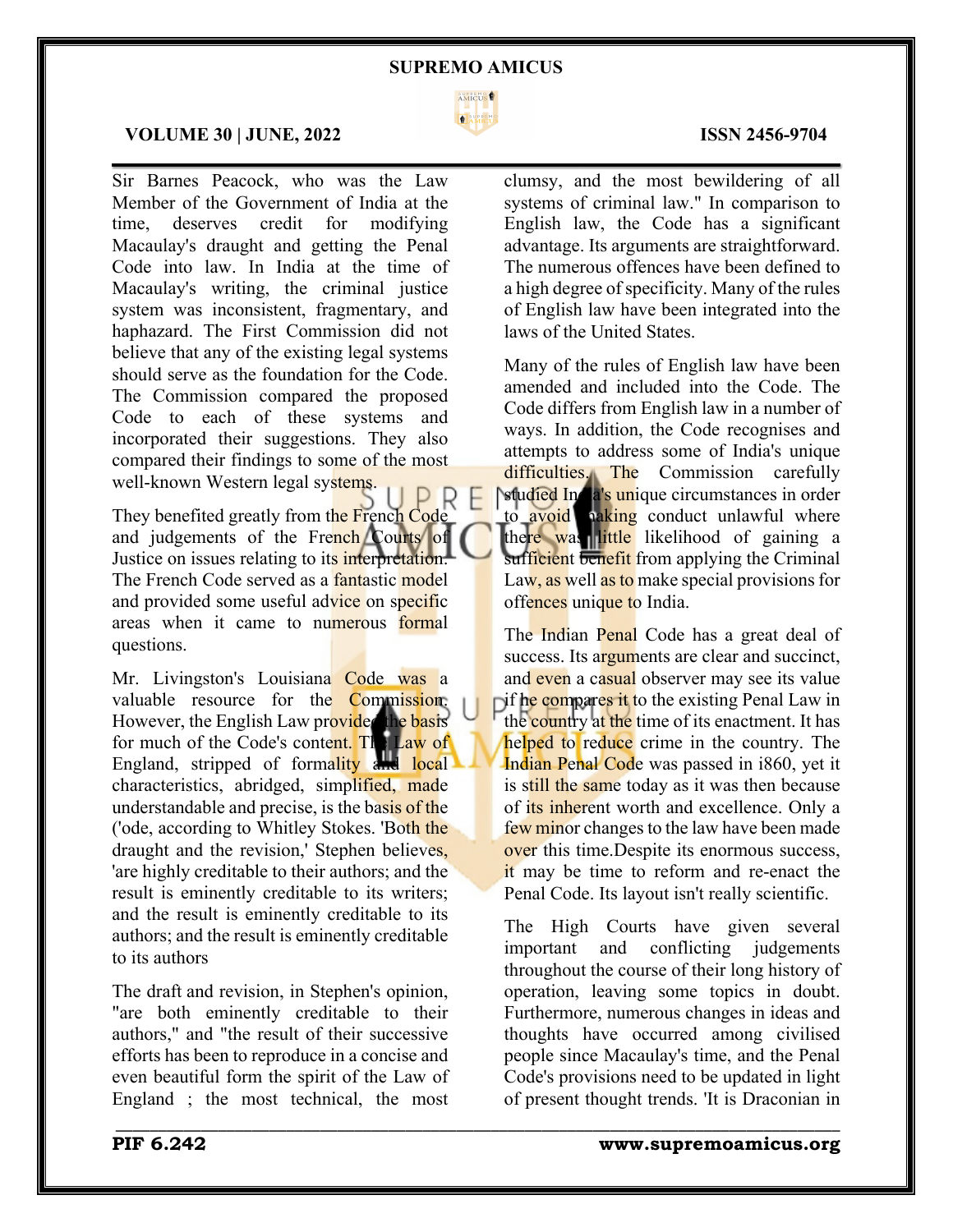

 $\mathcal{L}_\mathcal{L} = \mathcal{L}_\mathcal{L} = \mathcal{L}_\mathcal{L} = \mathcal{L}_\mathcal{L} = \mathcal{L}_\mathcal{L} = \mathcal{L}_\mathcal{L} = \mathcal{L}_\mathcal{L} = \mathcal{L}_\mathcal{L} = \mathcal{L}_\mathcal{L} = \mathcal{L}_\mathcal{L} = \mathcal{L}_\mathcal{L} = \mathcal{L}_\mathcal{L} = \mathcal{L}_\mathcal{L} = \mathcal{L}_\mathcal{L} = \mathcal{L}_\mathcal{L} = \mathcal{L}_\mathcal{L} = \mathcal{L}_\mathcal{L}$ 

\_\_\_\_\_\_\_\_\_\_\_\_\_\_\_\_\_\_\_\_\_\_\_\_\_\_\_\_\_\_\_\_\_\_\_\_\_\_\_\_\_\_\_\_\_\_\_\_\_\_\_\_\_\_\_\_\_\_\_\_\_\_\_\_\_\_\_\_\_\_\_\_\_\_\_\_\_\_\_\_\_\_\_\_\_

# **VOLUME 30 | JUNE, 2022 ISSN 2456-9704**

Sir Barnes Peacock, who was the Law Member of the Government of India at the time, deserves credit for modifying Macaulay's draught and getting the Penal Code into law. In India at the time of Macaulay's writing, the criminal justice system was inconsistent, fragmentary, and haphazard. The First Commission did not believe that any of the existing legal systems should serve as the foundation for the Code. The Commission compared the proposed Code to each of these systems and incorporated their suggestions. They also compared their findings to some of the most well-known Western legal systems.

They benefited greatly from the French Code and judgements of the French Courts of Justice on issues relating to its interpretation. The French Code served as a fantastic model and provided some useful advice on specific areas when it came to numerous formal questions.

Mr. Livingston's Louisiana Code was a valuable resource for the Commission. However, the English Law provided the basis for much of the Code's content. The Law of England, stripped of formality and local characteristics, abridged, simplified, made understandable and precise, is the basis of the ('ode, according to Whitley Stokes. 'Both the draught and the revision,' Stephen believes, 'are highly creditable to their authors; and the result is eminently creditable to its writers; and the result is eminently creditable to its authors; and the result is eminently creditable to its authors

The draft and revision, in Stephen's opinion, "are both eminently creditable to their authors," and "the result of their successive efforts has been to reproduce in a concise and even beautiful form the spirit of the Law of England ; the most technical, the most

clumsy, and the most bewildering of all systems of criminal law." In comparison to English law, the Code has a significant advantage. Its arguments are straightforward. The numerous offences have been defined to a high degree of specificity. Many of the rules of English law have been integrated into the laws of the United States.

Many of the rules of English law have been amended and included into the Code. The Code differs from English law in a number of ways. In addition, the Code recognises and attempts to address some of India's unique difficulties. The Commission carefully studied India's unique circumstances in order to avoid naking conduct unlawful where there was little likelihood of gaining a sufficient benefit from applying the Criminal Law, as well as to make special provisions for offences unique to India.

The Indian Penal Code has a great deal of success. Its arguments are clear and succinct, and even a casual observer may see its value if he compares it to the existing Penal Law in the country at the time of its enactment. It has helped to reduce crime in the country. The Indian Penal Code was passed in i860, yet it is still the same today as it was then because of its inherent worth and excellence. Only a few minor changes to the law have been made over this time.Despite its enormous success, it may be time to reform and re-enact the Penal Code. Its layout isn't really scientific.

The High Courts have given several important and conflicting judgements throughout the course of their long history of operation, leaving some topics in doubt. Furthermore, numerous changes in ideas and thoughts have occurred among civilised people since Macaulay's time, and the Penal Code's provisions need to be updated in light of present thought trends. 'It is Draconian in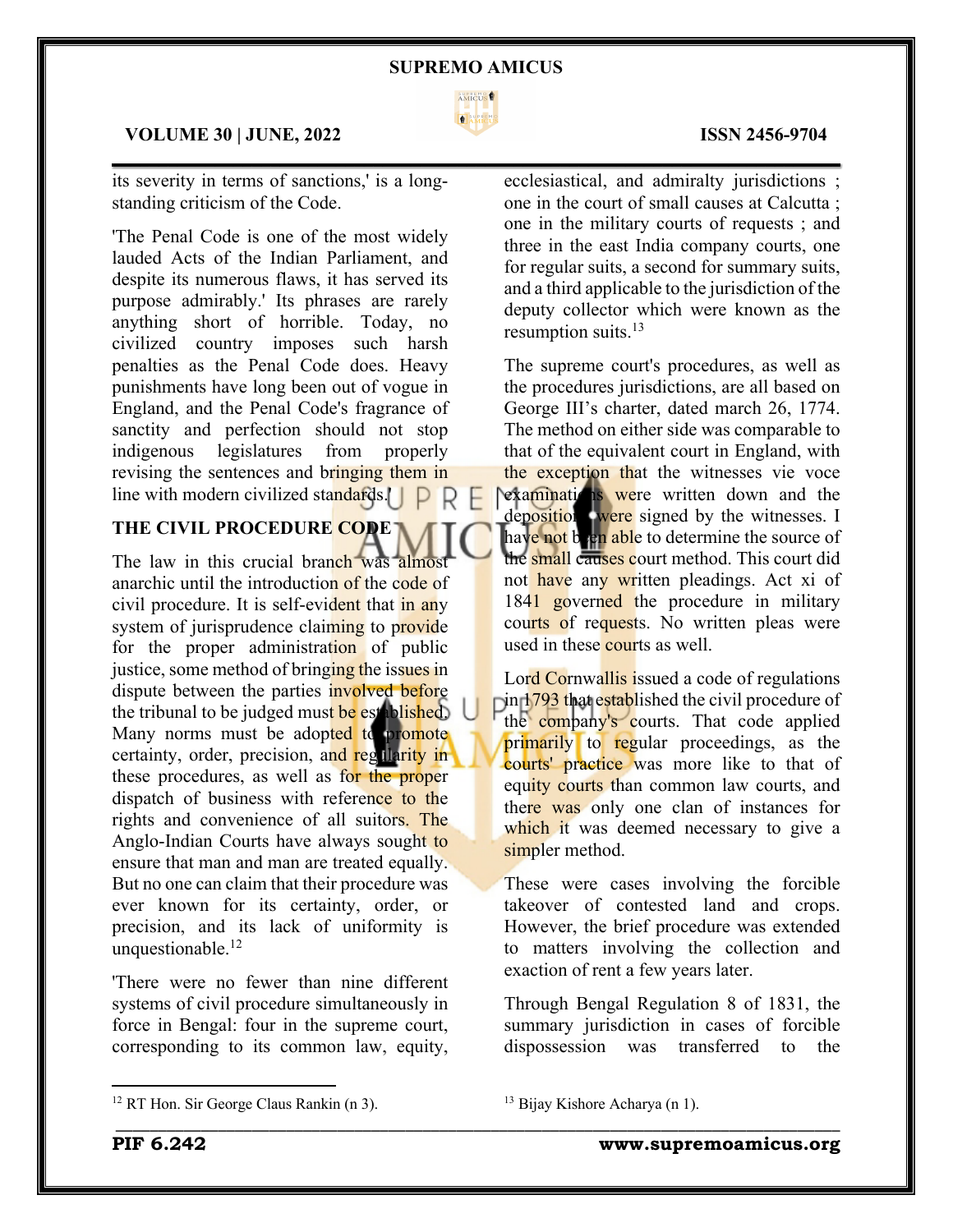

 $\mathcal{L}_\mathcal{L} = \mathcal{L}_\mathcal{L} = \mathcal{L}_\mathcal{L} = \mathcal{L}_\mathcal{L} = \mathcal{L}_\mathcal{L} = \mathcal{L}_\mathcal{L} = \mathcal{L}_\mathcal{L} = \mathcal{L}_\mathcal{L} = \mathcal{L}_\mathcal{L} = \mathcal{L}_\mathcal{L} = \mathcal{L}_\mathcal{L} = \mathcal{L}_\mathcal{L} = \mathcal{L}_\mathcal{L} = \mathcal{L}_\mathcal{L} = \mathcal{L}_\mathcal{L} = \mathcal{L}_\mathcal{L} = \mathcal{L}_\mathcal{L}$ 

## **VOLUME 30 | JUNE, 2022 ISSN 2456-9704**

its severity in terms of sanctions,' is a longstanding criticism of the Code.

'The Penal Code is one of the most widely lauded Acts of the Indian Parliament, and despite its numerous flaws, it has served its purpose admirably.' Its phrases are rarely anything short of horrible. Today, no civilized country imposes such harsh penalties as the Penal Code does. Heavy punishments have long been out of vogue in England, and the Penal Code's fragrance of sanctity and perfection should not stop indigenous legislatures from properly revising the sentences and bringing them in line with modern civilized standards.

# **THE CIVIL PROCEDURE CODE**

The law in this crucial branch was almost anarchic until the introduction of the code of civil procedure. It is self-evident that in any system of jurisprudence claiming to provide for the proper administration of public justice, some method of bringing the issues in dispute between the parties involved before the tribunal to be judged must be established. Many norms must be adopted to promote certainty, order, precision, and regularity in these procedures, as well as for the proper dispatch of business with reference to the rights and convenience of all suitors. The Anglo-Indian Courts have always sought to ensure that man and man are treated equally. But no one can claim that their procedure was ever known for its certainty, order, or precision, and its lack of uniformity is unquestionable.12

'There were no fewer than nine different systems of civil procedure simultaneously in force in Bengal: four in the supreme court, corresponding to its common law, equity,

ecclesiastical, and admiralty jurisdictions ; one in the court of small causes at Calcutta ; one in the military courts of requests ; and three in the east India company courts, one for regular suits, a second for summary suits, and a third applicable to the jurisdiction of the deputy collector which were known as the resumption suits. 13

The supreme court's procedures, as well as the procedures jurisdictions, are all based on George III's charter, dated march 26, 1774. The method on either side was comparable to that of the equivalent court in England, with the exception that the witnesses vie voce **Pexaminations were written down and the** depositions were signed by the witnesses. I have not b<sub>re</sub>n able to determine the source of the small causes court method. This court did not have any written pleadings. Act xi of 1841 governed the procedure in military courts of requests. No written pleas were used in these courts as well.

Lord Cornwallis issued a code of regulations  $\int \frac{1793}{\text{th}}$  that established the civil procedure of the company's courts. That code applied primarily to regular proceedings, as the courts' practice was more like to that of equity courts than common law courts, and there was only one clan of instances for which it was deemed necessary to give a simpler method.

These were cases involving the forcible takeover of contested land and crops. However, the brief procedure was extended to matters involving the collection and exaction of rent a few years later.

Through Bengal Regulation 8 of 1831, the summary jurisdiction in cases of forcible dispossession was transferred to the

<sup>13</sup> Bijay Kishore Acharya (n 1).

\_\_\_\_\_\_\_\_\_\_\_\_\_\_\_\_\_\_\_\_\_\_\_\_\_\_\_\_\_\_\_\_\_\_\_\_\_\_\_\_\_\_\_\_\_\_\_\_\_\_\_\_\_\_\_\_\_\_\_\_\_\_\_\_\_\_\_\_\_\_\_\_\_\_\_\_\_\_\_\_\_\_\_\_\_

<sup>&</sup>lt;sup>12</sup> RT Hon. Sir George Claus Rankin (n 3).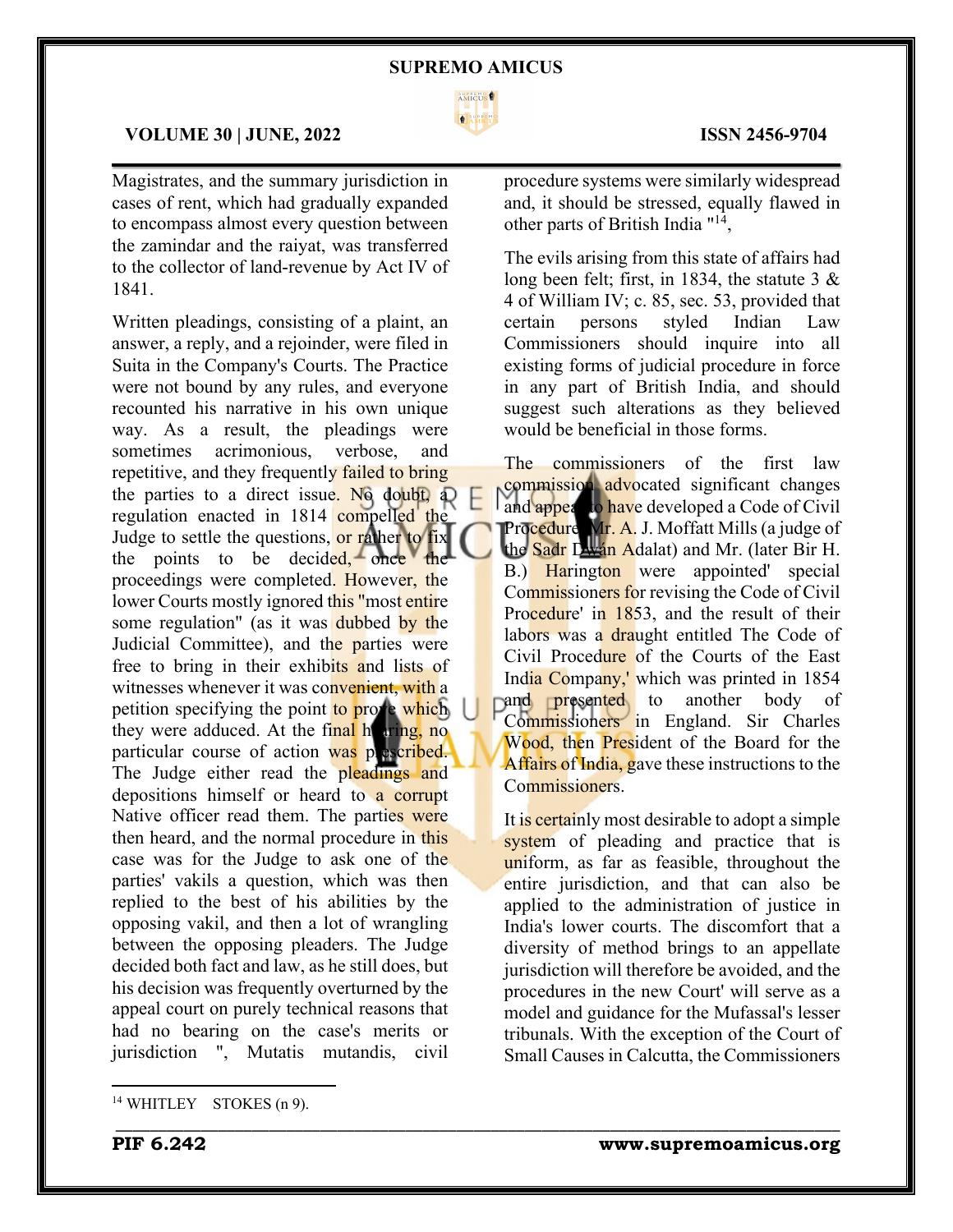

 $\mathcal{L}_\mathcal{L} = \mathcal{L}_\mathcal{L} = \mathcal{L}_\mathcal{L} = \mathcal{L}_\mathcal{L} = \mathcal{L}_\mathcal{L} = \mathcal{L}_\mathcal{L} = \mathcal{L}_\mathcal{L} = \mathcal{L}_\mathcal{L} = \mathcal{L}_\mathcal{L} = \mathcal{L}_\mathcal{L} = \mathcal{L}_\mathcal{L} = \mathcal{L}_\mathcal{L} = \mathcal{L}_\mathcal{L} = \mathcal{L}_\mathcal{L} = \mathcal{L}_\mathcal{L} = \mathcal{L}_\mathcal{L} = \mathcal{L}_\mathcal{L}$ 

\_\_\_\_\_\_\_\_\_\_\_\_\_\_\_\_\_\_\_\_\_\_\_\_\_\_\_\_\_\_\_\_\_\_\_\_\_\_\_\_\_\_\_\_\_\_\_\_\_\_\_\_\_\_\_\_\_\_\_\_\_\_\_\_\_\_\_\_\_\_\_\_\_\_\_\_\_\_\_\_\_\_\_\_\_

## **VOLUME 30 | JUNE, 2022 ISSN 2456-9704**

Magistrates, and the summary jurisdiction in cases of rent, which had gradually expanded to encompass almost every question between the zamindar and the raiyat, was transferred to the collector of land-revenue by Act IV of 1841.

Written pleadings, consisting of a plaint, an answer, a reply, and a rejoinder, were filed in Suita in the Company's Courts. The Practice were not bound by any rules, and everyone recounted his narrative in his own unique way. As a result, the pleadings were sometimes acrimonious, verbose, and repetitive, and they frequently failed to bring the parties to a direct issue. No doubt, a) regulation enacted in 1814 compelled the Judge to settle the questions, or rather to fix the points to be decided, once the proceedings were completed. However, the lower Courts mostly ignored this "most entire" some regulation" (as it was dubbed by the Judicial Committee), and the parties were free to bring in their exhibits and lists of witnesses whenever it was convenient, with a petition specifying the point to prove which they were adduced. At the final hearing, no particular course of action was prescribed. The Judge either read the pleadings and depositions himself or heard to a corrupt Native officer read them. The parties were then heard, and the normal procedure in this case was for the Judge to ask one of the parties' vakils a question, which was then replied to the best of his abilities by the opposing vakil, and then a lot of wrangling between the opposing pleaders. The Judge decided both fact and law, as he still does, but his decision was frequently overturned by the appeal court on purely technical reasons that had no bearing on the case's merits or jurisdiction ", Mutatis mutandis, civil

procedure systems were similarly widespread and, it should be stressed, equally flawed in other parts of British India "14,

The evils arising from this state of affairs had long been felt; first, in 1834, the statute 3 & 4 of William IV; c. 85, sec. 53, provided that certain persons styled Indian Law Commissioners should inquire into all existing forms of judicial procedure in force in any part of British India, and should suggest such alterations as they believed would be beneficial in those forms.

The commissioners of the first law commission advocated significant changes and appear to have developed a Code of Civil Procedure. Mr. A. J. Moffatt Mills (a judge of the Sadr Dwán Adalat) and Mr. (later Bir H. B.) Harington were appointed special Commissioners for revising the Code of Civil Procedure' in 1853, and the result of their labors was a draught entitled The Code of Civil Procedure of the Courts of the East India Company,' which was printed in 1854 pand **presented** to another body of Commissioners in England. Sir Charles Wood, then President of the Board for the Affairs of India, gave these instructions to the Commissioners.

It is certainly most desirable to adopt a simple system of pleading and practice that is uniform, as far as feasible, throughout the entire jurisdiction, and that can also be applied to the administration of justice in India's lower courts. The discomfort that a diversity of method brings to an appellate jurisdiction will therefore be avoided, and the procedures in the new Court' will serve as a model and guidance for the Mufassal's lesser tribunals. With the exception of the Court of Small Causes in Calcutta, the Commissioners

<sup>&</sup>lt;sup>14</sup> WHITLEY STOKES (n 9).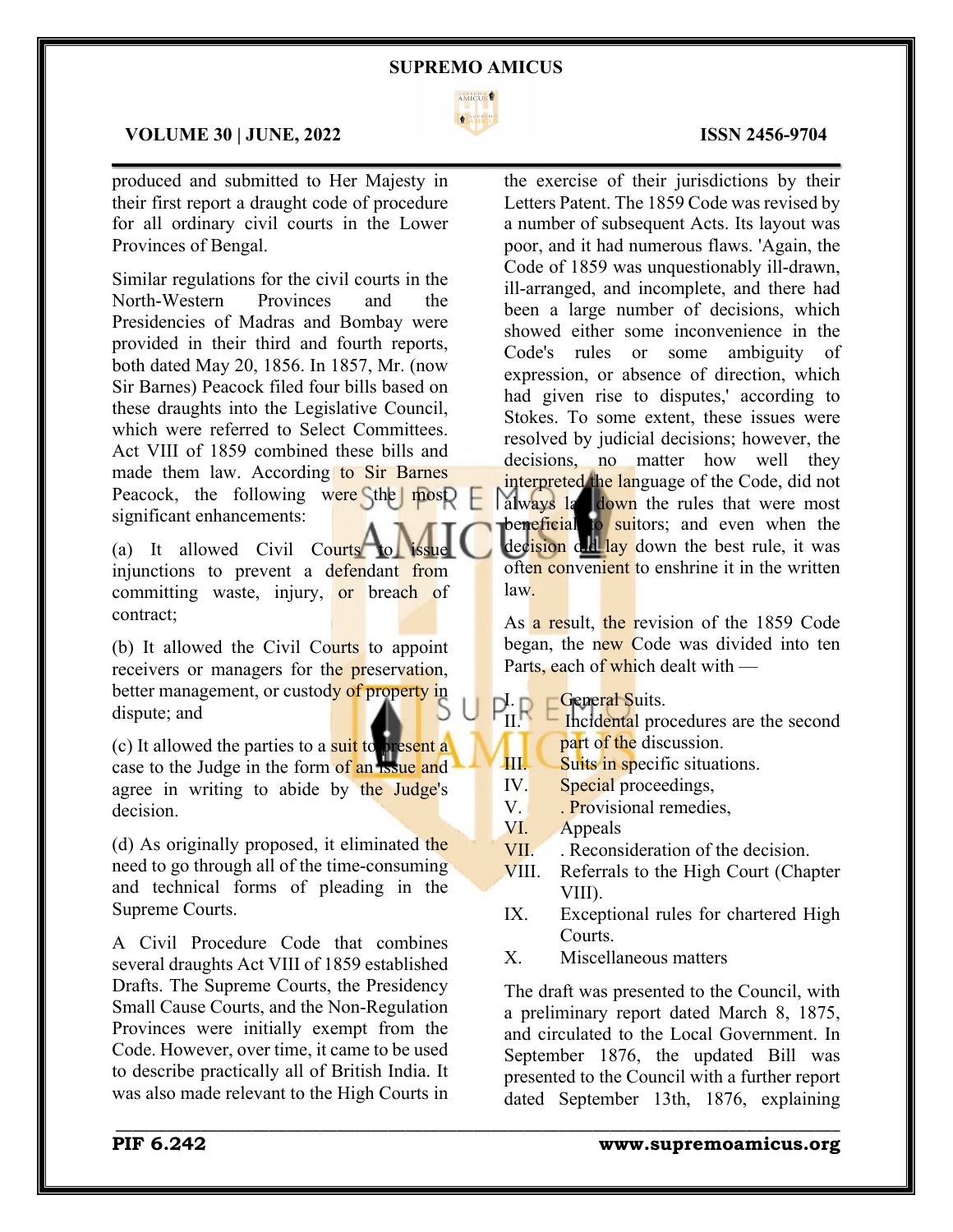

 $\mathcal{L}_\mathcal{L} = \mathcal{L}_\mathcal{L} = \mathcal{L}_\mathcal{L} = \mathcal{L}_\mathcal{L} = \mathcal{L}_\mathcal{L} = \mathcal{L}_\mathcal{L} = \mathcal{L}_\mathcal{L} = \mathcal{L}_\mathcal{L} = \mathcal{L}_\mathcal{L} = \mathcal{L}_\mathcal{L} = \mathcal{L}_\mathcal{L} = \mathcal{L}_\mathcal{L} = \mathcal{L}_\mathcal{L} = \mathcal{L}_\mathcal{L} = \mathcal{L}_\mathcal{L} = \mathcal{L}_\mathcal{L} = \mathcal{L}_\mathcal{L}$ 

# **VOLUME 30 | JUNE, 2022 ISSN 2456-9704**

produced and submitted to Her Majesty in their first report a draught code of procedure for all ordinary civil courts in the Lower Provinces of Bengal.

Similar regulations for the civil courts in the North-Western Provinces and the Presidencies of Madras and Bombay were provided in their third and fourth reports, both dated May 20, 1856. In 1857, Mr. (now Sir Barnes) Peacock filed four bills based on these draughts into the Legislative Council, which were referred to Select Committees. Act VIII of 1859 combined these bills and made them law. According to Sir Barnes Peacock, the following were the most significant enhancements:

(a) It allowed Civil Courts to injunctions to prevent a defendant from committing waste, injury, or breach of contract;

(b) It allowed the Civil Courts to appoint receivers or managers for the preservation. better management, or custody of property in dispute; and

(c) It allowed the parties to a suit to present a case to the Judge in the form of an issue and agree in writing to abide by the Judge's decision.

(d) As originally proposed, it eliminated the need to go through all of the time-consuming and technical forms of pleading in the Supreme Courts.

A Civil Procedure Code that combines several draughts Act VIII of 1859 established Drafts. The Supreme Courts, the Presidency Small Cause Courts, and the Non-Regulation Provinces were initially exempt from the Code. However, over time, it came to be used to describe practically all of British India. It was also made relevant to the High Courts in

the exercise of their jurisdictions by their Letters Patent. The 1859 Code was revised by a number of subsequent Acts. Its layout was poor, and it had numerous flaws. 'Again, the Code of 1859 was unquestionably ill-drawn, ill-arranged, and incomplete, and there had been a large number of decisions, which showed either some inconvenience in the Code's rules or some ambiguity of expression, or absence of direction, which had given rise to disputes,' according to Stokes. To some extent, these issues were resolved by judicial decisions; however, the decisions, no matter how well they interpreted the language of the Code, did not always la down the rules that were most beneficial to suitors; and even when the decision did lay down the best rule, it was often convenient to enshrine it in the written law.

As a result, the revision of the 1859 Code began, the new Code was divided into ten Parts, each of which dealt with —

 $P_{II}^L \rightarrow P_{Ihclidean}^C$ 

Incidental procedures are the second part of the discussion.

- **III.** Suits in specific situations.
- IV. Special proceedings,
- V. . Provisional remedies,
- VI. Appeals

\_\_\_\_\_\_\_\_\_\_\_\_\_\_\_\_\_\_\_\_\_\_\_\_\_\_\_\_\_\_\_\_\_\_\_\_\_\_\_\_\_\_\_\_\_\_\_\_\_\_\_\_\_\_\_\_\_\_\_\_\_\_\_\_\_\_\_\_\_\_\_\_\_\_\_\_\_\_\_\_\_\_\_\_\_

- VII. . Reconsideration of the decision.
- VIII. Referrals to the High Court (Chapter VIII).
- IX. Exceptional rules for chartered High Courts.
- X. Miscellaneous matters

The draft was presented to the Council, with a preliminary report dated March 8, 1875, and circulated to the Local Government. In September 1876, the updated Bill was presented to the Council with a further report dated September 13th, 1876, explaining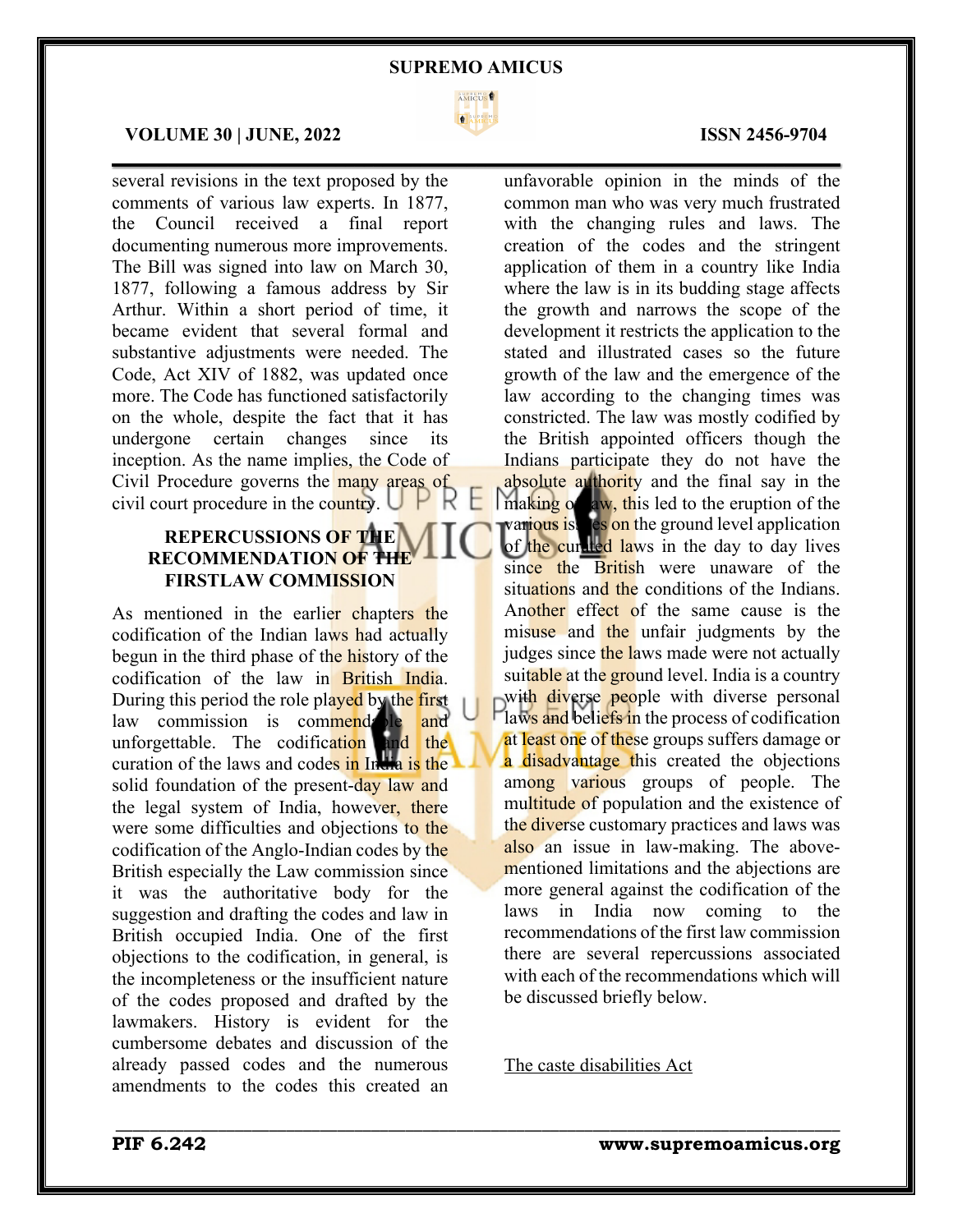

 $\mathcal{L}_\mathcal{L} = \mathcal{L}_\mathcal{L} = \mathcal{L}_\mathcal{L} = \mathcal{L}_\mathcal{L} = \mathcal{L}_\mathcal{L} = \mathcal{L}_\mathcal{L} = \mathcal{L}_\mathcal{L} = \mathcal{L}_\mathcal{L} = \mathcal{L}_\mathcal{L} = \mathcal{L}_\mathcal{L} = \mathcal{L}_\mathcal{L} = \mathcal{L}_\mathcal{L} = \mathcal{L}_\mathcal{L} = \mathcal{L}_\mathcal{L} = \mathcal{L}_\mathcal{L} = \mathcal{L}_\mathcal{L} = \mathcal{L}_\mathcal{L}$ 

### **VOLUME 30 | JUNE, 2022 ISSN 2456-9704**

several revisions in the text proposed by the comments of various law experts. In 1877, the Council received a final report documenting numerous more improvements. The Bill was signed into law on March 30, 1877, following a famous address by Sir Arthur. Within a short period of time, it became evident that several formal and substantive adjustments were needed. The Code, Act XIV of 1882, was updated once more. The Code has functioned satisfactorily on the whole, despite the fact that it has undergone certain changes since its inception. As the name implies, the Code of Civil Procedure governs the many areas of civil court procedure in the country.  $\bigcup_{k} \bigcup_{k} \bigcup_{k} \bigcup_{k}$ 

# **REPERCUSSIONS OF THE RECOMMENDATION OF THE FIRSTLAW COMMISSION**

As mentioned in the earlier chapters the codification of the Indian laws had actually begun in the third phase of the history of the codification of the law in British India. During this period the role played by the first law commission is commende le and unforgettable. The codification and the curation of the laws and codes in India is the solid foundation of the present-day law and the legal system of India, however, there were some difficulties and objections to the codification of the Anglo-Indian codes by the British especially the Law commission since it was the authoritative body for the suggestion and drafting the codes and law in British occupied India. One of the first objections to the codification, in general, is the incompleteness or the insufficient nature of the codes proposed and drafted by the lawmakers. History is evident for the cumbersome debates and discussion of the already passed codes and the numerous amendments to the codes this created an

unfavorable opinion in the minds of the common man who was very much frustrated with the changing rules and laws. The creation of the codes and the stringent application of them in a country like India where the law is in its budding stage affects the growth and narrows the scope of the development it restricts the application to the stated and illustrated cases so the future growth of the law and the emergence of the law according to the changing times was constricted. The law was mostly codified by the British appointed officers though the Indians participate they do not have the absolute authority and the final say in the making of aw, this led to the eruption of the various is es on the ground level application of the curated laws in the day to day lives since the British were unaware of the situations and the conditions of the Indians. Another effect of the same cause is the misuse and the unfair judgments by the judges since the laws made were not actually suitable at the ground level. India is a country with diverse people with diverse personal laws and beliefs in the process of codification at least one of these groups suffers damage or a disadvantage this created the objections among various groups of people. The multitude of population and the existence of the diverse customary practices and laws was also an issue in law-making. The abovementioned limitations and the abjections are more general against the codification of the laws in India now coming to the recommendations of the first law commission there are several repercussions associated with each of the recommendations which will be discussed briefly below.

The caste disabilities Act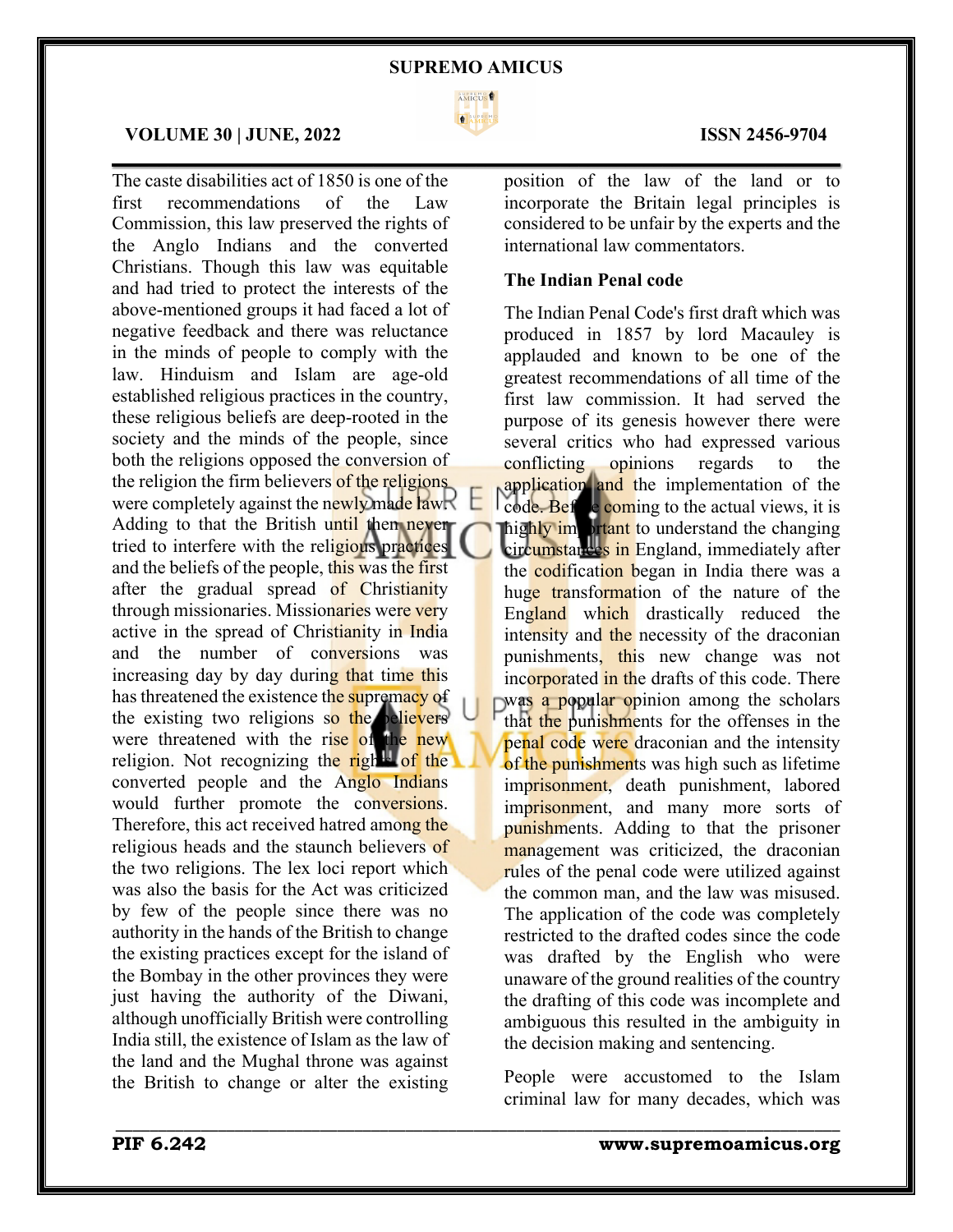

 $\mathcal{L}_\mathcal{L} = \mathcal{L}_\mathcal{L} = \mathcal{L}_\mathcal{L} = \mathcal{L}_\mathcal{L} = \mathcal{L}_\mathcal{L} = \mathcal{L}_\mathcal{L} = \mathcal{L}_\mathcal{L} = \mathcal{L}_\mathcal{L} = \mathcal{L}_\mathcal{L} = \mathcal{L}_\mathcal{L} = \mathcal{L}_\mathcal{L} = \mathcal{L}_\mathcal{L} = \mathcal{L}_\mathcal{L} = \mathcal{L}_\mathcal{L} = \mathcal{L}_\mathcal{L} = \mathcal{L}_\mathcal{L} = \mathcal{L}_\mathcal{L}$ 

\_\_\_\_\_\_\_\_\_\_\_\_\_\_\_\_\_\_\_\_\_\_\_\_\_\_\_\_\_\_\_\_\_\_\_\_\_\_\_\_\_\_\_\_\_\_\_\_\_\_\_\_\_\_\_\_\_\_\_\_\_\_\_\_\_\_\_\_\_\_\_\_\_\_\_\_\_\_\_\_\_\_\_\_\_

## **VOLUME 30 | JUNE, 2022 ISSN 2456-9704**

The caste disabilities act of 1850 is one of the first recommendations of the Law Commission, this law preserved the rights of the Anglo Indians and the converted Christians. Though this law was equitable and had tried to protect the interests of the above-mentioned groups it had faced a lot of negative feedback and there was reluctance in the minds of people to comply with the law. Hinduism and Islam are age-old established religious practices in the country, these religious beliefs are deep-rooted in the society and the minds of the people, since both the religions opposed the conversion of the religion the firm believers of the religions were completely against the newly made law. Adding to that the British until then never tried to interfere with the religious practices and the beliefs of the people, this was the first after the gradual spread of Christianity through missionaries. Missionaries were very active in the spread of Christianity in India and the number of conversions was increasing day by day during that time this has threatened the existence the supremacy of the existing two religions so the believers were threatened with the rise of the new religion. Not recognizing the rights of the converted people and the Anglo Indians would further promote the conversions. Therefore, this act received hatred among the religious heads and the staunch believers of the two religions. The lex loci report which was also the basis for the Act was criticized by few of the people since there was no authority in the hands of the British to change the existing practices except for the island of the Bombay in the other provinces they were just having the authority of the Diwani, although unofficially British were controlling India still, the existence of Islam as the law of the land and the Mughal throne was against the British to change or alter the existing

position of the law of the land or to incorporate the Britain legal principles is considered to be unfair by the experts and the international law commentators.

### **The Indian Penal code**

The Indian Penal Code's first draft which was produced in 1857 by lord Macauley is applauded and known to be one of the greatest recommendations of all time of the first law commission. It had served the purpose of its genesis however there were several critics who had expressed various conflicting opinions regards to the application and the implementation of the code. Before coming to the actual views, it is highly important to understand the changing circumstances in England, immediately after the codification began in India there was a huge transformation of the nature of the England which drastically reduced the intensity and the necessity of the draconian punishments, this new change was not incorporated in the drafts of this code. There  $\nabla$ was a popular opinion among the scholars that the punishments for the offenses in the penal code were draconian and the intensity of the punishments was high such as lifetime imprisonment, death punishment, labored imprisonment, and many more sorts of punishments. Adding to that the prisoner management was criticized, the draconian rules of the penal code were utilized against the common man, and the law was misused. The application of the code was completely restricted to the drafted codes since the code was drafted by the English who were unaware of the ground realities of the country the drafting of this code was incomplete and ambiguous this resulted in the ambiguity in the decision making and sentencing.

People were accustomed to the Islam criminal law for many decades, which was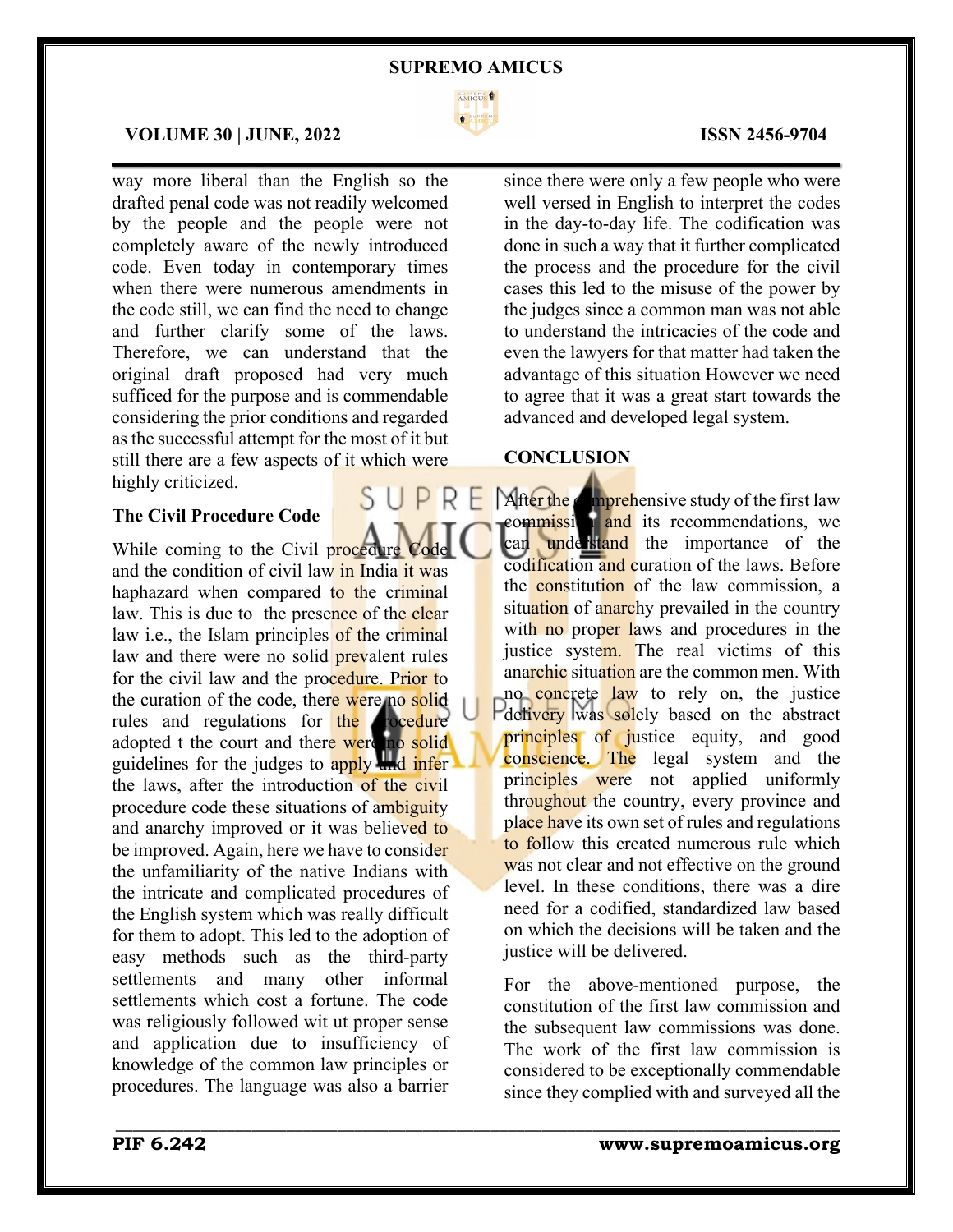

 $\mathcal{L}_\mathcal{L} = \mathcal{L}_\mathcal{L} = \mathcal{L}_\mathcal{L} = \mathcal{L}_\mathcal{L} = \mathcal{L}_\mathcal{L} = \mathcal{L}_\mathcal{L} = \mathcal{L}_\mathcal{L} = \mathcal{L}_\mathcal{L} = \mathcal{L}_\mathcal{L} = \mathcal{L}_\mathcal{L} = \mathcal{L}_\mathcal{L} = \mathcal{L}_\mathcal{L} = \mathcal{L}_\mathcal{L} = \mathcal{L}_\mathcal{L} = \mathcal{L}_\mathcal{L} = \mathcal{L}_\mathcal{L} = \mathcal{L}_\mathcal{L}$ 

\_\_\_\_\_\_\_\_\_\_\_\_\_\_\_\_\_\_\_\_\_\_\_\_\_\_\_\_\_\_\_\_\_\_\_\_\_\_\_\_\_\_\_\_\_\_\_\_\_\_\_\_\_\_\_\_\_\_\_\_\_\_\_\_\_\_\_\_\_\_\_\_\_\_\_\_\_\_\_\_\_\_\_\_\_

# **VOLUME 30 | JUNE, 2022 ISSN 2456-9704**

way more liberal than the English so the drafted penal code was not readily welcomed by the people and the people were not completely aware of the newly introduced code. Even today in contemporary times when there were numerous amendments in the code still, we can find the need to change and further clarify some of the laws. Therefore, we can understand that the original draft proposed had very much sufficed for the purpose and is commendable considering the prior conditions and regarded as the successful attempt for the most of it but still there are a few aspects of it which were highly criticized.

# **The Civil Procedure Code**

While coming to the Civil procedure and the condition of civil law in India it was haphazard when compared to the criminal law. This is due to the presence of the clear law *i.e.*, the Islam principles of the criminal law and there were no solid **prevalent** rules for the civil law and the procedure. Prior to the curation of the code, there were no solid rules and regulations for the **procedure** adopted t the court and there were no solid guidelines for the judges to apply and infer the laws, after the introduction of the civil procedure code these situations of ambiguity and anarchy improved or it was believed to be improved. Again, here we have to consider the unfamiliarity of the native Indians with the intricate and complicated procedures of the English system which was really difficult for them to adopt. This led to the adoption of easy methods such as the third-party settlements and many other informal settlements which cost a fortune. The code was religiously followed wit ut proper sense and application due to insufficiency of knowledge of the common law principles or procedures. The language was also a barrier

since there were only a few people who were well versed in English to interpret the codes in the day-to-day life. The codification was done in such a way that it further complicated the process and the procedure for the civil cases this led to the misuse of the power by the judges since a common man was not able to understand the intricacies of the code and even the lawyers for that matter had taken the advantage of this situation However we need to agree that it was a great start towards the advanced and developed legal system.

# **CONCLUSION**

After the comprehensive study of the first law commission and its recommendations, we can understand the importance of the codification and curation of the laws. Before the **constitution** of the law commission, a situation of anarchy prevailed in the country with no proper laws and procedures in the justice system. The real victims of this anarchic situation are the common men. With no concrete law to rely on, the justice delivery was solely based on the abstract principles of justice equity, and good conscience. The legal system and the principles were not applied uniformly throughout the country, every province and place have its own set of rules and regulations to follow this created numerous rule which was not clear and not effective on the ground level. In these conditions, there was a dire need for a codified, standardized law based on which the decisions will be taken and the justice will be delivered.

For the above-mentioned purpose, the constitution of the first law commission and the subsequent law commissions was done. The work of the first law commission is considered to be exceptionally commendable since they complied with and surveyed all the